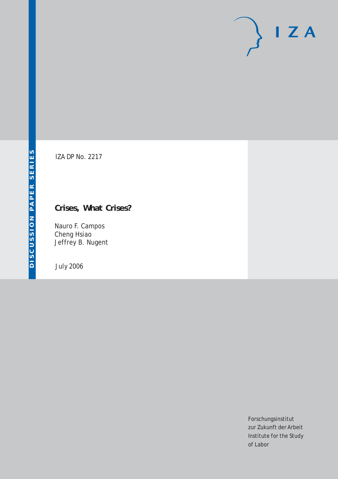# $I Z A$

IZA DP No. 2217

# **Crises, What Crises?**

Nauro F. Campos Cheng Hsiao Jeffrey B. Nugent

July 2006

Forschungsinstitut zur Zukunft der Arbeit Institute for the Study of Labor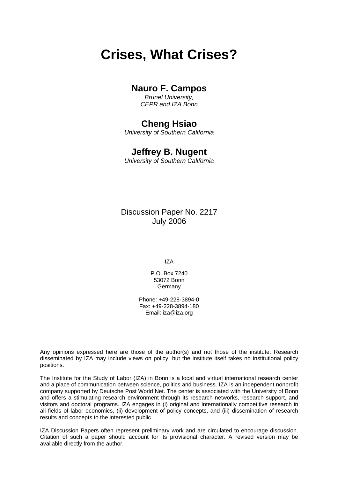# **Crises, What Crises?**

# **Nauro F. Campos**

*Brunel University, CEPR and IZA Bonn* 

# **Cheng Hsiao**

*University of Southern California* 

## **Jeffrey B. Nugent**

*University of Southern California* 

Discussion Paper No. 2217 July 2006

IZA

P.O. Box 7240 53072 Bonn Germany

Phone: +49-228-3894-0 Fax: +49-228-3894-180 Email: [iza@iza.org](mailto:iza@iza.org)

Any opinions expressed here are those of the author(s) and not those of the institute. Research disseminated by IZA may include views on policy, but the institute itself takes no institutional policy positions.

The Institute for the Study of Labor (IZA) in Bonn is a local and virtual international research center and a place of communication between science, politics and business. IZA is an independent nonprofit company supported by Deutsche Post World Net. The center is associated with the University of Bonn and offers a stimulating research environment through its research networks, research support, and visitors and doctoral programs. IZA engages in (i) original and internationally competitive research in all fields of labor economics, (ii) development of policy concepts, and (iii) dissemination of research results and concepts to the interested public.

IZA Discussion Papers often represent preliminary work and are circulated to encourage discussion. Citation of such a paper should account for its provisional character. A revised version may be available directly from the author.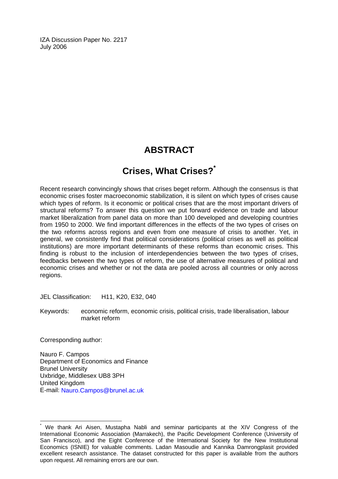IZA Discussion Paper No. 2217 July 2006

# **ABSTRACT**

# **Crises, What Crises?[\\*](#page-2-0)**

Recent research convincingly shows that crises beget reform. Although the consensus is that economic crises foster macroeconomic stabilization, it is silent on which types of crises cause which types of reform. Is it economic or political crises that are the most important drivers of structural reforms? To answer this question we put forward evidence on trade and labour market liberalization from panel data on more than 100 developed and developing countries from 1950 to 2000. We find important differences in the effects of the two types of crises on the two reforms across regions and even from one measure of crisis to another. Yet, in general, we consistently find that political considerations (political crises as well as political institutions) are more important determinants of these reforms than economic crises. This finding is robust to the inclusion of interdependencies between the two types of crises, feedbacks between the two types of reform, the use of alternative measures of political and economic crises and whether or not the data are pooled across all countries or only across regions.

JEL Classification: H11, K20, E32, 040

Keywords: economic reform, economic crisis, political crisis, trade liberalisation, labour market reform

Corresponding author:

 $\overline{a}$ 

Nauro F. Campos Department of Economics and Finance Brunel University Uxbridge, Middlesex UB8 3PH United Kingdom E-mail: [Nauro.Campos@brunel.ac.uk](mailto:Nauro.Campos@brunel.ac.uk) 

<span id="page-2-0"></span><sup>\*</sup> We thank Ari Aisen, Mustapha Nabli and seminar participants at the XIV Congress of the International Economic Association (Marrakech), the Pacific Development Conference (University of San Francisco), and the Eight Conference of the International Society for the New Institutional Economics (ISNIE) for valuable comments. Ladan Masoudie and Kannika Damrongplasit provided excellent research assistance. The dataset constructed for this paper is available from the authors upon request. All remaining errors are our own.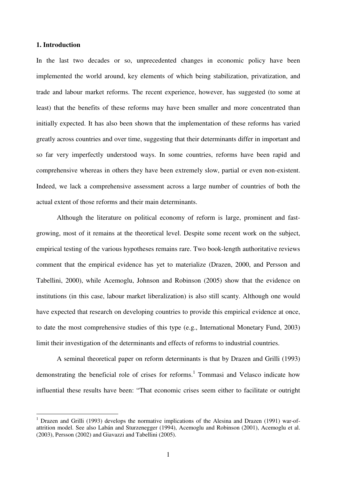### **1. Introduction**

 $\overline{1}$ 

In the last two decades or so, unprecedented changes in economic policy have been implemented the world around, key elements of which being stabilization, privatization, and trade and labour market reforms. The recent experience, however, has suggested (to some at least) that the benefits of these reforms may have been smaller and more concentrated than initially expected. It has also been shown that the implementation of these reforms has varied greatly across countries and over time, suggesting that their determinants differ in important and so far very imperfectly understood ways. In some countries, reforms have been rapid and comprehensive whereas in others they have been extremely slow, partial or even non-existent. Indeed, we lack a comprehensive assessment across a large number of countries of both the actual extent of those reforms and their main determinants.

Although the literature on political economy of reform is large, prominent and fastgrowing, most of it remains at the theoretical level. Despite some recent work on the subject, empirical testing of the various hypotheses remains rare. Two book-length authoritative reviews comment that the empirical evidence has yet to materialize (Drazen, 2000, and Persson and Tabellini, 2000), while Acemoglu, Johnson and Robinson (2005) show that the evidence on institutions (in this case, labour market liberalization) is also still scanty. Although one would have expected that research on developing countries to provide this empirical evidence at once, to date the most comprehensive studies of this type (e.g., International Monetary Fund, 2003) limit their investigation of the determinants and effects of reforms to industrial countries.

A seminal theoretical paper on reform determinants is that by Drazen and Grilli (1993) demonstrating the beneficial role of crises for reforms.<sup>1</sup> Tommasi and Velasco indicate how influential these results have been: "That economic crises seem either to facilitate or outright

<sup>&</sup>lt;sup>1</sup> Drazen and Grilli (1993) develops the normative implications of the Alesina and Drazen (1991) war-ofattrition model. See also Labán and Sturzenegger (1994), Acemoglu and Robinson (2001), Acemoglu et al. (2003), Persson (2002) and Giavazzi and Tabellini (2005).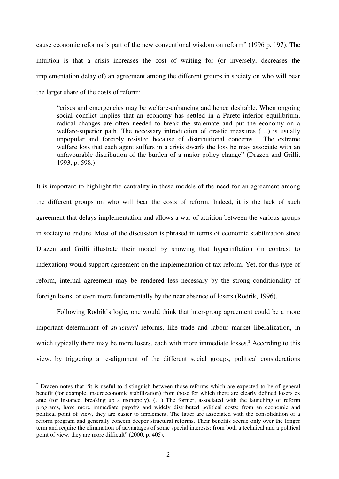cause economic reforms is part of the new conventional wisdom on reform" (1996 p. 197). The intuition is that a crisis increases the cost of waiting for (or inversely, decreases the implementation delay of) an agreement among the different groups in society on who will bear the larger share of the costs of reform:

"crises and emergencies may be welfare-enhancing and hence desirable. When ongoing social conflict implies that an economy has settled in a Pareto-inferior equilibrium, radical changes are often needed to break the stalemate and put the economy on a welfare-superior path. The necessary introduction of drastic measures  $(\ldots)$  is usually unpopular and forcibly resisted because of distributional concerns… The extreme welfare loss that each agent suffers in a crisis dwarfs the loss he may associate with an unfavourable distribution of the burden of a major policy change" (Drazen and Grilli, 1993, p. 598.)

It is important to highlight the centrality in these models of the need for an agreement among the different groups on who will bear the costs of reform. Indeed, it is the lack of such agreement that delays implementation and allows a war of attrition between the various groups in society to endure. Most of the discussion is phrased in terms of economic stabilization since Drazen and Grilli illustrate their model by showing that hyperinflation (in contrast to indexation) would support agreement on the implementation of tax reform. Yet, for this type of reform, internal agreement may be rendered less necessary by the strong conditionality of foreign loans, or even more fundamentally by the near absence of losers (Rodrik, 1996).

Following Rodrik's logic, one would think that inter-group agreement could be a more important determinant of *structural* reforms, like trade and labour market liberalization, in which typically there may be more losers, each with more immediate losses.<sup>2</sup> According to this view, by triggering a re-alignment of the different social groups, political considerations

<sup>&</sup>lt;sup>2</sup> Drazen notes that "it is useful to distinguish between those reforms which are expected to be of general benefit (for example, macroeconomic stabilization) from those for which there are clearly defined losers ex ante (for instance, breaking up a monopoly). (…) The former, associated with the launching of reform programs, have more immediate payoffs and widely distributed political costs; from an economic and political point of view, they are easier to implement. The latter are associated with the consolidation of a reform program and generally concern deeper structural reforms. Their benefits accrue only over the longer term and require the elimination of advantages of some special interests; from both a technical and a political point of view, they are more difficult" (2000, p. 405).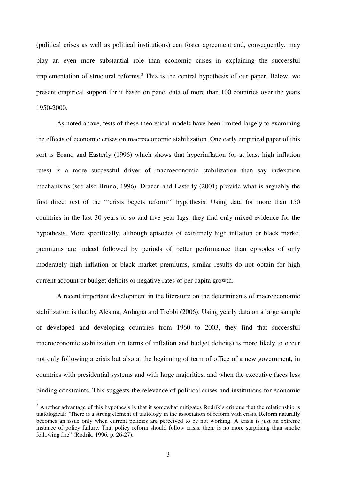(political crises as well as political institutions) can foster agreement and, consequently, may play an even more substantial role than economic crises in explaining the successful implementation of structural reforms.<sup>3</sup> This is the central hypothesis of our paper. Below, we present empirical support for it based on panel data of more than 100 countries over the years 1950-2000.

As noted above, tests of these theoretical models have been limited largely to examining the effects of economic crises on macroeconomic stabilization. One early empirical paper of this sort is Bruno and Easterly (1996) which shows that hyperinflation (or at least high inflation rates) is a more successful driver of macroeconomic stabilization than say indexation mechanisms (see also Bruno, 1996). Drazen and Easterly (2001) provide what is arguably the first direct test of the "'crisis begets reform'" hypothesis. Using data for more than 150 countries in the last 30 years or so and five year lags, they find only mixed evidence for the hypothesis. More specifically, although episodes of extremely high inflation or black market premiums are indeed followed by periods of better performance than episodes of only moderately high inflation or black market premiums, similar results do not obtain for high current account or budget deficits or negative rates of per capita growth.

A recent important development in the literature on the determinants of macroeconomic stabilization is that by Alesina, Ardagna and Trebbi (2006). Using yearly data on a large sample of developed and developing countries from 1960 to 2003, they find that successful macroeconomic stabilization (in terms of inflation and budget deficits) is more likely to occur not only following a crisis but also at the beginning of term of office of a new government, in countries with presidential systems and with large majorities, and when the executive faces less binding constraints. This suggests the relevance of political crises and institutions for economic

<sup>&</sup>lt;sup>3</sup> Another advantage of this hypothesis is that it somewhat mitigates Rodrik's critique that the relationship is tautological: "There is a strong element of tautology in the association of reform with crisis. Reform naturally becomes an issue only when current policies are perceived to be not working. A crisis is just an extreme instance of policy failure. That policy reform should follow crisis, then, is no more surprising than smoke following fire" (Rodrik, 1996, p. 26-27).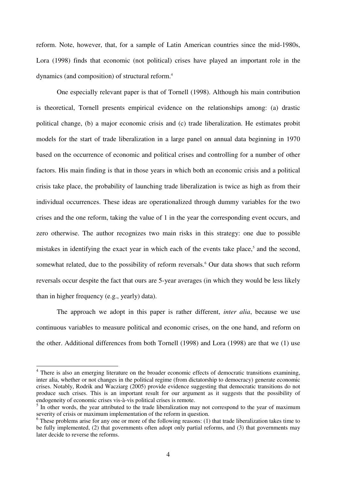reform. Note, however, that, for a sample of Latin American countries since the mid-1980s, Lora (1998) finds that economic (not political) crises have played an important role in the dynamics (and composition) of structural reform.<sup>4</sup>

One especially relevant paper is that of Tornell (1998). Although his main contribution is theoretical, Tornell presents empirical evidence on the relationships among: (a) drastic political change, (b) a major economic crisis and (c) trade liberalization. He estimates probit models for the start of trade liberalization in a large panel on annual data beginning in 1970 based on the occurrence of economic and political crises and controlling for a number of other factors. His main finding is that in those years in which both an economic crisis and a political crisis take place, the probability of launching trade liberalization is twice as high as from their individual occurrences. These ideas are operationalized through dummy variables for the two crises and the one reform, taking the value of 1 in the year the corresponding event occurs, and zero otherwise. The author recognizes two main risks in this strategy: one due to possible mistakes in identifying the exact year in which each of the events take place,<sup>5</sup> and the second, somewhat related, due to the possibility of reform reversals.<sup>6</sup> Our data shows that such reform reversals occur despite the fact that ours are 5-year averages (in which they would be less likely than in higher frequency (e.g., yearly) data).

The approach we adopt in this paper is rather different, *inter alia*, because we use continuous variables to measure political and economic crises, on the one hand, and reform on the other. Additional differences from both Tornell (1998) and Lora (1998) are that we (1) use

<sup>&</sup>lt;sup>4</sup> There is also an emerging literature on the broader economic effects of democratic transitions examining, inter alia, whether or not changes in the political regime (from dictatorship to democracy) generate economic crises. Notably, Rodrik and Wacziarg (2005) provide evidence suggesting that democratic transitions do not produce such crises. This is an important result for our argument as it suggests that the possibility of

endogeneity of economic crises vis-à-vis political crises is remote.<br><sup>5</sup> In other words, the year attributed to the trade liberalization may not correspond to the year of maximum severity of crisis or maximum implementation of the reform in question.

 $6$  These problems arise for any one or more of the following reasons: (1) that trade liberalization takes time to be fully implemented, (2) that governments often adopt only partial reforms, and (3) that governments may later decide to reverse the reforms.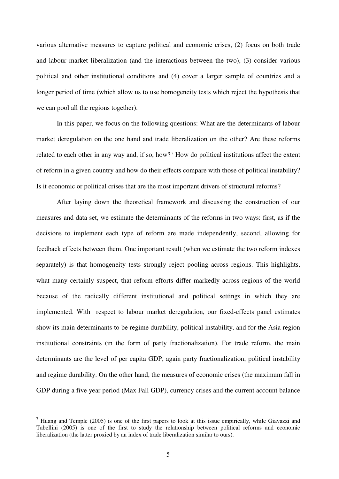various alternative measures to capture political and economic crises, (2) focus on both trade and labour market liberalization (and the interactions between the two), (3) consider various political and other institutional conditions and (4) cover a larger sample of countries and a longer period of time (which allow us to use homogeneity tests which reject the hypothesis that we can pool all the regions together).

In this paper, we focus on the following questions: What are the determinants of labour market deregulation on the one hand and trade liberalization on the other? Are these reforms related to each other in any way and, if so, how?<sup>7</sup> How do political institutions affect the extent of reform in a given country and how do their effects compare with those of political instability? Is it economic or political crises that are the most important drivers of structural reforms?

 After laying down the theoretical framework and discussing the construction of our measures and data set, we estimate the determinants of the reforms in two ways: first, as if the decisions to implement each type of reform are made independently, second, allowing for feedback effects between them. One important result (when we estimate the two reform indexes separately) is that homogeneity tests strongly reject pooling across regions. This highlights, what many certainly suspect, that reform efforts differ markedly across regions of the world because of the radically different institutional and political settings in which they are implemented. With respect to labour market deregulation, our fixed-effects panel estimates show its main determinants to be regime durability, political instability, and for the Asia region institutional constraints (in the form of party fractionalization). For trade reform, the main determinants are the level of per capita GDP, again party fractionalization, political instability and regime durability. On the other hand, the measures of economic crises (the maximum fall in GDP during a five year period (Max Fall GDP), currency crises and the current account balance

<sup>&</sup>lt;sup>7</sup> Huang and Temple (2005) is one of the first papers to look at this issue empirically, while Giavazzi and Tabellini (2005) is one of the first to study the relationship between political reforms and economic liberalization (the latter proxied by an index of trade liberalization similar to ours).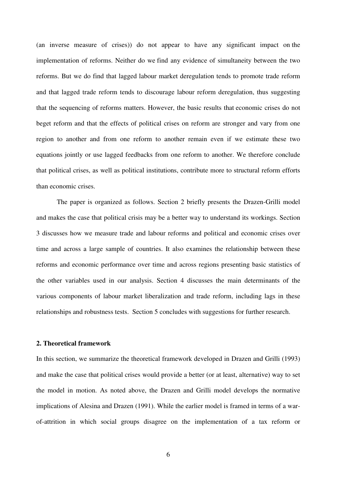(an inverse measure of crises)) do not appear to have any significant impact on the implementation of reforms. Neither do we find any evidence of simultaneity between the two reforms. But we do find that lagged labour market deregulation tends to promote trade reform and that lagged trade reform tends to discourage labour reform deregulation, thus suggesting that the sequencing of reforms matters. However, the basic results that economic crises do not beget reform and that the effects of political crises on reform are stronger and vary from one region to another and from one reform to another remain even if we estimate these two equations jointly or use lagged feedbacks from one reform to another. We therefore conclude that political crises, as well as political institutions, contribute more to structural reform efforts than economic crises.

 The paper is organized as follows. Section 2 briefly presents the Drazen-Grilli model and makes the case that political crisis may be a better way to understand its workings. Section 3 discusses how we measure trade and labour reforms and political and economic crises over time and across a large sample of countries. It also examines the relationship between these reforms and economic performance over time and across regions presenting basic statistics of the other variables used in our analysis. Section 4 discusses the main determinants of the various components of labour market liberalization and trade reform, including lags in these relationships and robustness tests. Section 5 concludes with suggestions for further research.

### **2. Theoretical framework**

In this section, we summarize the theoretical framework developed in Drazen and Grilli (1993) and make the case that political crises would provide a better (or at least, alternative) way to set the model in motion. As noted above, the Drazen and Grilli model develops the normative implications of Alesina and Drazen (1991). While the earlier model is framed in terms of a warof-attrition in which social groups disagree on the implementation of a tax reform or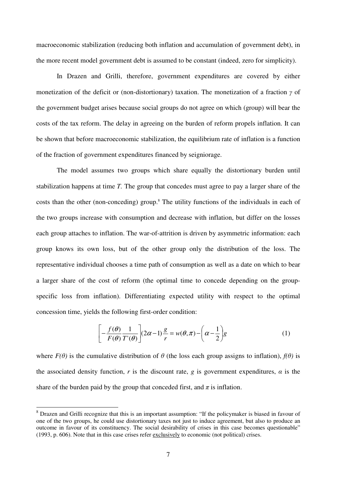macroeconomic stabilization (reducing both inflation and accumulation of government debt), in the more recent model government debt is assumed to be constant (indeed, zero for simplicity).

In Drazen and Grilli, therefore, government expenditures are covered by either monetization of the deficit or (non-distortionary) taxation. The monetization of a fraction γ of the government budget arises because social groups do not agree on which (group) will bear the costs of the tax reform. The delay in agreeing on the burden of reform propels inflation. It can be shown that before macroeconomic stabilization, the equilibrium rate of inflation is a function of the fraction of government expenditures financed by seigniorage.

The model assumes two groups which share equally the distortionary burden until stabilization happens at time *T.* The group that concedes must agree to pay a larger share of the costs than the other (non-conceding) group.<sup>8</sup> The utility functions of the individuals in each of the two groups increase with consumption and decrease with inflation, but differ on the losses each group attaches to inflation. The war-of-attrition is driven by asymmetric information: each group knows its own loss, but of the other group only the distribution of the loss. The representative individual chooses a time path of consumption as well as a date on which to bear a larger share of the cost of reform (the optimal time to concede depending on the groupspecific loss from inflation). Differentiating expected utility with respect to the optimal concession time, yields the following first-order condition:

$$
\left[ -\frac{f(\theta)}{F(\theta)} \frac{1}{T'(\theta)} \right] (2\alpha - 1) \frac{g}{r} = w(\theta, \pi) - \left( \alpha - \frac{1}{2} \right) g \tag{1}
$$

where  $F(\theta)$  is the cumulative distribution of  $\theta$  (the loss each group assigns to inflation),  $f(\theta)$  is the associated density function, *r* is the discount rate, *g* is government expenditures,  $\alpha$  is the share of the burden paid by the group that conceded first, and  $\pi$  is inflation.

<sup>&</sup>lt;sup>8</sup> Drazen and Grilli recognize that this is an important assumption: "If the policymaker is biased in favour of one of the two groups, he could use distortionary taxes not just to induce agreement, but also to produce an outcome in favour of its constituency. The social desirability of crises in this case becomes questionable" (1993, p. 606). Note that in this case crises refer exclusively to economic (not political) crises.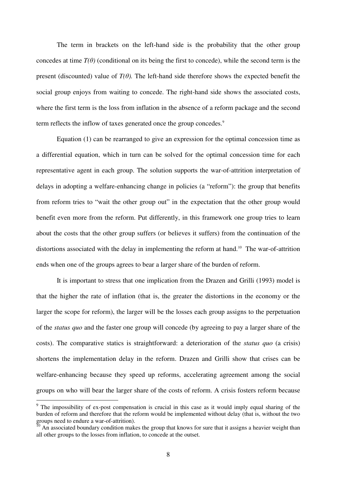The term in brackets on the left-hand side is the probability that the other group concedes at time  $T(\theta)$  (conditional on its being the first to concede), while the second term is the present (discounted) value of  $T(\theta)$ . The left-hand side therefore shows the expected benefit the social group enjoys from waiting to concede. The right-hand side shows the associated costs, where the first term is the loss from inflation in the absence of a reform package and the second term reflects the inflow of taxes generated once the group concedes.<sup>9</sup>

 Equation (1) can be rearranged to give an expression for the optimal concession time as a differential equation, which in turn can be solved for the optimal concession time for each representative agent in each group. The solution supports the war-of-attrition interpretation of delays in adopting a welfare-enhancing change in policies (a "reform"): the group that benefits from reform tries to "wait the other group out" in the expectation that the other group would benefit even more from the reform. Put differently, in this framework one group tries to learn about the costs that the other group suffers (or believes it suffers) from the continuation of the distortions associated with the delay in implementing the reform at hand.<sup>10</sup> The war-of-attrition ends when one of the groups agrees to bear a larger share of the burden of reform.

It is important to stress that one implication from the Drazen and Grilli (1993) model is that the higher the rate of inflation (that is, the greater the distortions in the economy or the larger the scope for reform), the larger will be the losses each group assigns to the perpetuation of the *status quo* and the faster one group will concede (by agreeing to pay a larger share of the costs). The comparative statics is straightforward: a deterioration of the *status quo* (a crisis) shortens the implementation delay in the reform. Drazen and Grilli show that crises can be welfare-enhancing because they speed up reforms, accelerating agreement among the social groups on who will bear the larger share of the costs of reform. A crisis fosters reform because

<sup>&</sup>lt;sup>9</sup> The impossibility of ex-post compensation is crucial in this case as it would imply equal sharing of the burden of reform and therefore that the reform would be implemented without delay (that is, without the two groups need to endure a war-of-attrition).

 $\frac{10}{10}$  An associated boundary condition makes the group that knows for sure that it assigns a heavier weight than all other groups to the losses from inflation, to concede at the outset.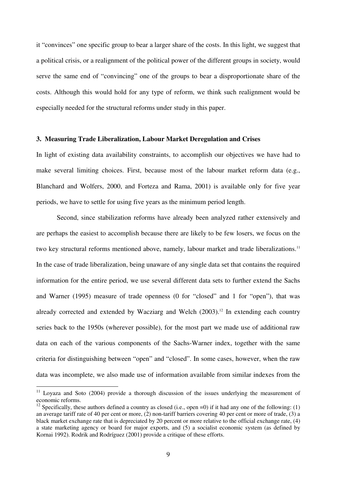it "convinces" one specific group to bear a larger share of the costs. In this light, we suggest that a political crisis, or a realignment of the political power of the different groups in society, would serve the same end of "convincing" one of the groups to bear a disproportionate share of the costs. Although this would hold for any type of reform, we think such realignment would be especially needed for the structural reforms under study in this paper.

### **3. Measuring Trade Liberalization, Labour Market Deregulation and Crises**

In light of existing data availability constraints, to accomplish our objectives we have had to make several limiting choices. First, because most of the labour market reform data (e.g., Blanchard and Wolfers, 2000, and Forteza and Rama, 2001) is available only for five year periods, we have to settle for using five years as the minimum period length.

Second, since stabilization reforms have already been analyzed rather extensively and are perhaps the easiest to accomplish because there are likely to be few losers, we focus on the two key structural reforms mentioned above, namely, labour market and trade liberalizations.<sup>11</sup> In the case of trade liberalization, being unaware of any single data set that contains the required information for the entire period, we use several different data sets to further extend the Sachs and Warner (1995) measure of trade openness (0 for "closed" and 1 for "open"), that was already corrected and extended by Wacziarg and Welch  $(2003)$ .<sup>12</sup> In extending each country series back to the 1950s (wherever possible), for the most part we made use of additional raw data on each of the various components of the Sachs-Warner index, together with the same criteria for distinguishing between "open" and "closed". In some cases, however, when the raw data was incomplete, we also made use of information available from similar indexes from the

 $11$  Loyaza and Soto (2004) provide a thorough discussion of the issues underlying the measurement of economic reforms.

<sup>&</sup>lt;sup>12</sup> Specifically, these authors defined a country as closed (i.e., open =0) if it had any one of the following: (1) an average tariff rate of 40 per cent or more, (2) non-tariff barriers covering 40 per cent or more of trade, (3) a black market exchange rate that is depreciated by 20 percent or more relative to the official exchange rate, (4) a state marketing agency or board for major exports, and (5) a socialist economic system (as defined by Kornai 1992). Rodrik and Rodríguez (2001) provide a critique of these efforts.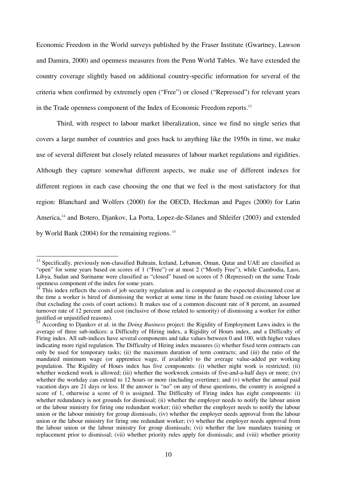Economic Freedom in the World surveys published by the Fraser Institute (Gwartney, Lawson and Damira, 2000) and openness measures from the Penn World Tables. We have extended the country coverage slightly based on additional country-specific information for several of the criteria when confirmed by extremely open ("Free") or closed ("Repressed") for relevant years in the Trade openness component of the Index of Economic Freedom reports.<sup>13</sup>

 Third, with respect to labour market liberalization, since we find no single series that covers a large number of countries and goes back to anything like the 1950s in time, we make use of several different but closely related measures of labour market regulations and rigidities. Although they capture somewhat different aspects, we make use of different indexes for different regions in each case choosing the one that we feel is the most satisfactory for that region: Blanchard and Wolfers (2000) for the OECD, Heckman and Pages (2000) for Latin America,<sup>14</sup> and Botero, Diankov, La Porta, Lopez-de-Silanes and Shleifer (2003) and extended by World Bank (2004) for the remaining regions.<sup>15</sup>

<sup>&</sup>lt;sup>13</sup> Specifically, previously non-classified Bahrain, Iceland, Lebanon, Oman, Qatar and UAE are classified as "open" for some years based on scores of 1 ("Free") or at most 2 ("Mostly Free"), while Cambodia, Laos, Libya, Sudan and Suriname were classified as "closed" based on scores of 5 (Repressed) on the same Trade openness component of the index for some years.

 $14$  This index reflects the costs of job security regulation and is computed as the expected discounted cost at the time a worker is hired of dismissing the worker at some time in the future based on existing labour law (but excluding the costs of court actions). It makes use of a common discount rate of 8 percent, an assumed turnover rate of 12 percent and cost (inclusive of those related to seniority) of dismissing a worker for either justified or unjustified reasons).

<sup>15</sup> According to Djankov et al. in the *Doing Business* project: the Rigidity of Employment Laws index is the average of three sub-indices: a Difficulty of Hiring index, a Rigidity of Hours index, and a Difficulty of Firing index. All sub-indices have several components and take values between 0 and 100, with higher values indicating more rigid regulation. The Difficulty of Hiring index measures (i) whether fixed term contracts can only be used for temporary tasks; (ii) the maximum duration of term contracts; and (iii) the ratio of the mandated minimum wage (or apprentice wage, if available) to the average value-added per working population. The Rigidity of Hours index has five components: (i) whether night work is restricted; (ii) whether weekend work is allowed; (iii) whether the workweek consists of five-and-a-half days or more; (iv) whether the workday can extend to 12 hours or more (including overtime); and (v) whether the annual paid vacation days are 21 days or less. If the answer is "no" on any of these questions, the country is assigned a score of 1, otherwise a score of 0 is assigned. The Difficulty of Firing index has eight components: (i) whether redundancy is not grounds for dismissal; (ii) whether the employer needs to notify the labour union or the labour ministry for firing one redundant worker; (iii) whether the employer needs to notify the labour union or the labour ministry for group dismissals; (iv) whether the employer needs approval from the labour union or the labour ministry for firing one redundant worker; (v) whether the employer needs approval from the labour union or the labour ministry for group dismissals; (vi) whether the law mandates training or replacement prior to dismissal; (vii) whether priority rules apply for dismissals; and (viii) whether priority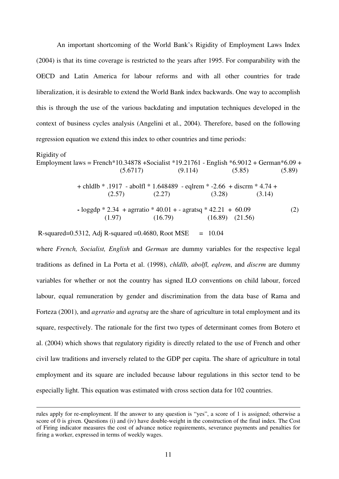An important shortcoming of the World Bank's Rigidity of Employment Laws Index (2004) is that its time coverage is restricted to the years after 1995. For comparability with the OECD and Latin America for labour reforms and with all other countries for trade liberalization, it is desirable to extend the World Bank index backwards. One way to accomplish this is through the use of the various backdating and imputation techniques developed in the context of business cycles analysis (Angelini et al., 2004). Therefore, based on the following regression equation we extend this index to other countries and time periods:

### Rigidity of

 $\overline{a}$ 

Employment laws = French\*10.34878 +Socialist \*19.21761 - English \*6.9012 + German\*6.09 +  $(5.6717)$   $(9.114)$   $(5.85)$   $(5.89)$ + chldlb \* .1917 - abolfl \* 1.648489 - eqlrem \* -2.66 + discrm \* 4.74 +  $(2.57)$   $(2.27)$   $(3.28)$   $(3.14)$  $\text{-} \log \frac{\text{gdp} * 2.34}{\text{+} \sqrt{2}}$  + agratio  $\text{*} \sqrt{40.01 + \text{-} \sqrt{2}}$  agratsq  $\text{*} \sqrt{42.21 + 60.09}$  (2)  $(1.97)$   $(16.79)$   $(16.89)$   $(21.56)$ 

R-squared=0.5312, Adj R-squared =0.4680, Root MSE =  $10.04$ 

where *French, Socialist, English* and *German* are dummy variables for the respective legal traditions as defined in La Porta et al. (1998), *chldlb, abolfl, eqlrem*, and *discrm* are dummy variables for whether or not the country has signed ILO conventions on child labour, forced labour, equal remuneration by gender and discrimination from the data base of Rama and Forteza (2001), and *agrratio* and *agratsq* are the share of agriculture in total employment and its square, respectively. The rationale for the first two types of determinant comes from Botero et al. (2004) which shows that regulatory rigidity is directly related to the use of French and other civil law traditions and inversely related to the GDP per capita. The share of agriculture in total employment and its square are included because labour regulations in this sector tend to be especially light. This equation was estimated with cross section data for 102 countries.

rules apply for re-employment. If the answer to any question is "yes", a score of 1 is assigned; otherwise a score of 0 is given. Questions (i) and (iv) have double-weight in the construction of the final index. The Cost of Firing indicator measures the cost of advance notice requirements, severance payments and penalties for firing a worker, expressed in terms of weekly wages.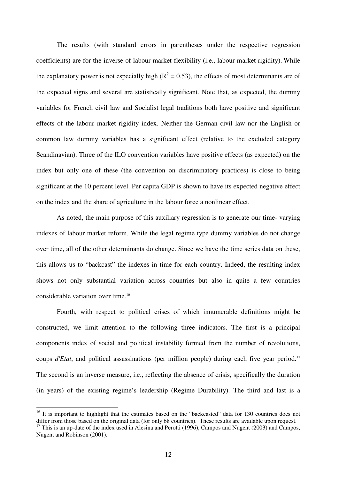The results (with standard errors in parentheses under the respective regression coefficients) are for the inverse of labour market flexibility (i.e., labour market rigidity). While the explanatory power is not especially high ( $R^2 = 0.53$ ), the effects of most determinants are of the expected signs and several are statistically significant. Note that, as expected, the dummy variables for French civil law and Socialist legal traditions both have positive and significant effects of the labour market rigidity index. Neither the German civil law nor the English or common law dummy variables has a significant effect (relative to the excluded category Scandinavian). Three of the ILO convention variables have positive effects (as expected) on the index but only one of these (the convention on discriminatory practices) is close to being significant at the 10 percent level. Per capita GDP is shown to have its expected negative effect on the index and the share of agriculture in the labour force a nonlinear effect.

As noted, the main purpose of this auxiliary regression is to generate our time- varying indexes of labour market reform. While the legal regime type dummy variables do not change over time, all of the other determinants do change. Since we have the time series data on these, this allows us to "backcast" the indexes in time for each country. Indeed, the resulting index shows not only substantial variation across countries but also in quite a few countries considerable variation over time.<sup>16</sup>

Fourth, with respect to political crises of which innumerable definitions might be constructed, we limit attention to the following three indicators. The first is a principal components index of social and political instability formed from the number of revolutions, coups *d'Etat*, and political assassinations (per million people) during each five year period.<sup>17</sup> The second is an inverse measure, i.e., reflecting the absence of crisis, specifically the duration (in years) of the existing regime's leadership (Regime Durability). The third and last is a

<sup>&</sup>lt;sup>16</sup> It is important to highlight that the estimates based on the "backcasted" data for 130 countries does not differ from those based on the original data (for only 68 countries). These results are available upon request.

<sup>&</sup>lt;sup>17</sup> This is an up-date of the index used in Alesina and Perotti (1996), Campos and Nugent (2003) and Campos, Nugent and Robinson (2001).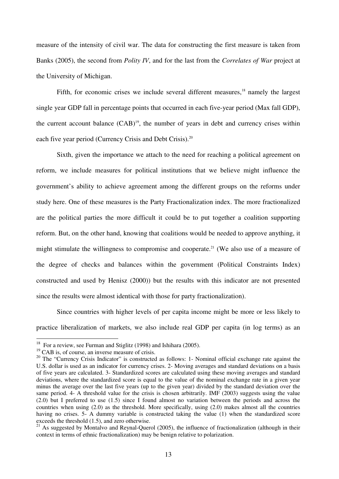measure of the intensity of civil war. The data for constructing the first measure is taken from Banks (2005), the second from *Polity IV*, and for the last from the *Correlates of War* project at the University of Michigan.

Fifth, for economic crises we include several different measures,<sup>18</sup> namely the largest single year GDP fall in percentage points that occurred in each five-year period (Max fall GDP), the current account balance  $(CAB)^{19}$ , the number of years in debt and currency crises within each five year period (Currency Crisis and Debt Crisis).<sup>20</sup>

Sixth, given the importance we attach to the need for reaching a political agreement on reform, we include measures for political institutions that we believe might influence the government's ability to achieve agreement among the different groups on the reforms under study here. One of these measures is the Party Fractionalization index. The more fractionalized are the political parties the more difficult it could be to put together a coalition supporting reform. But, on the other hand, knowing that coalitions would be needed to approve anything, it might stimulate the willingness to compromise and cooperate.<sup>21</sup> (We also use of a measure of the degree of checks and balances within the government (Political Constraints Index) constructed and used by Henisz (2000)) but the results with this indicator are not presented since the results were almost identical with those for party fractionalization).

Since countries with higher levels of per capita income might be more or less likely to practice liberalization of markets, we also include real GDP per capita (in log terms) as an

<sup>&</sup>lt;sup>18</sup> For a review, see Furman and Stiglitz (1998) and Ishihara (2005).

<sup>&</sup>lt;sup>19</sup> CAB is, of course, an inverse measure of crisis.

<sup>&</sup>lt;sup>20</sup> The "Currency Crisis Indicator" is constructed as follows: 1- Nominal official exchange rate against the U.S. dollar is used as an indicator for currency crises. 2- Moving averages and standard deviations on a basis of five years are calculated. 3- Standardized scores are calculated using these moving averages and standard deviations, where the standardized score is equal to the value of the nominal exchange rate in a given year minus the average over the last five years (up to the given year) divided by the standard deviation over the same period. 4- A threshold value for the crisis is chosen arbitrarily. IMF (2003) suggests using the value (2.0) but I preferred to use (1.5) since I found almost no variation between the periods and across the countries when using (2.0) as the threshold. More specifically, using (2.0) makes almost all the countries having no crises. 5- A dummy variable is constructed taking the value (1) when the standardized score exceeds the threshold (1.5), and zero otherwise.

<sup>&</sup>lt;sup>21</sup> As suggested by Montalvo and Reynal-Ouerol (2005), the influence of fractionalization (although in their context in terms of ethnic fractionalization) may be benign relative to polarization.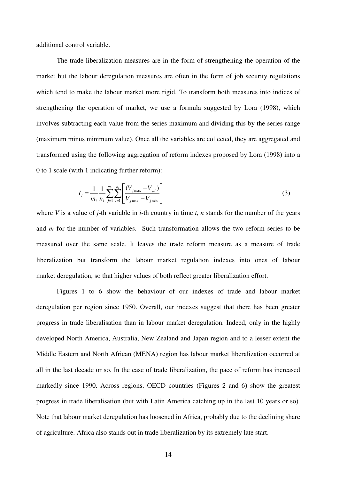additional control variable.

The trade liberalization measures are in the form of strengthening the operation of the market but the labour deregulation measures are often in the form of job security regulations which tend to make the labour market more rigid. To transform both measures into indices of strengthening the operation of market, we use a formula suggested by Lora (1998), which involves subtracting each value from the series maximum and dividing this by the series range (maximum minus minimum value). Once all the variables are collected, they are aggregated and transformed using the following aggregation of reform indexes proposed by Lora (1998) into a 0 to 1 scale (with 1 indicating further reform):

$$
I_{i} = \frac{1}{m_{i}} \frac{1}{n_{i}} \sum_{j=1}^{m_{i}} \sum_{t=1}^{n_{i}} \left[ \frac{(V_{j\max} - V_{jit})}{V_{j\max} - V_{j\min}} \right]
$$
(3)

where *V* is a value of *j*-th variable in *i*-th country in time *t*, *n* stands for the number of the years and *m* for the number of variables. Such transformation allows the two reform series to be measured over the same scale. It leaves the trade reform measure as a measure of trade liberalization but transform the labour market regulation indexes into ones of labour market deregulation, so that higher values of both reflect greater liberalization effort.

 Figures 1 to 6 show the behaviour of our indexes of trade and labour market deregulation per region since 1950. Overall, our indexes suggest that there has been greater progress in trade liberalisation than in labour market deregulation. Indeed, only in the highly developed North America, Australia, New Zealand and Japan region and to a lesser extent the Middle Eastern and North African (MENA) region has labour market liberalization occurred at all in the last decade or so. In the case of trade liberalization, the pace of reform has increased markedly since 1990. Across regions, OECD countries (Figures 2 and 6) show the greatest progress in trade liberalisation (but with Latin America catching up in the last 10 years or so). Note that labour market deregulation has loosened in Africa, probably due to the declining share of agriculture. Africa also stands out in trade liberalization by its extremely late start.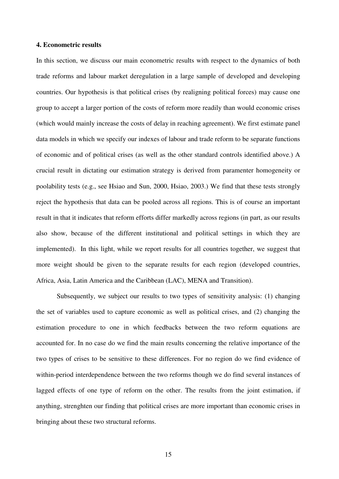### **4. Econometric results**

In this section, we discuss our main econometric results with respect to the dynamics of both trade reforms and labour market deregulation in a large sample of developed and developing countries. Our hypothesis is that political crises (by realigning political forces) may cause one group to accept a larger portion of the costs of reform more readily than would economic crises (which would mainly increase the costs of delay in reaching agreement). We first estimate panel data models in which we specify our indexes of labour and trade reform to be separate functions of economic and of political crises (as well as the other standard controls identified above.) A crucial result in dictating our estimation strategy is derived from paramenter homogeneity or poolability tests (e.g., see Hsiao and Sun, 2000, Hsiao, 2003.) We find that these tests strongly reject the hypothesis that data can be pooled across all regions. This is of course an important result in that it indicates that reform efforts differ markedly across regions (in part, as our results also show, because of the different institutional and political settings in which they are implemented). In this light, while we report results for all countries together, we suggest that more weight should be given to the separate results for each region (developed countries, Africa, Asia, Latin America and the Caribbean (LAC), MENA and Transition).

Subsequently, we subject our results to two types of sensitivity analysis: (1) changing the set of variables used to capture economic as well as political crises, and (2) changing the estimation procedure to one in which feedbacks between the two reform equations are accounted for. In no case do we find the main results concerning the relative importance of the two types of crises to be sensitive to these differences. For no region do we find evidence of within-period interdependence between the two reforms though we do find several instances of lagged effects of one type of reform on the other. The results from the joint estimation, if anything, strenghten our finding that political crises are more important than economic crises in bringing about these two structural reforms.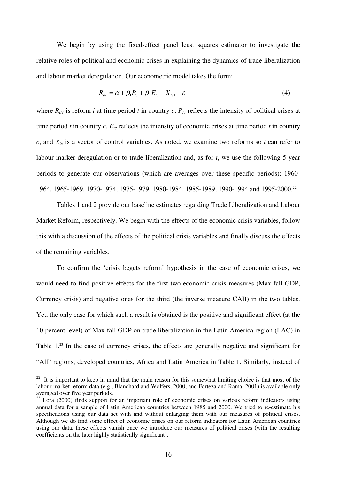We begin by using the fixed-effect panel least squares estimator to investigate the relative roles of political and economic crises in explaining the dynamics of trade liberalization and labour market deregulation. Our econometric model takes the form:

$$
R_{ic} = \alpha + \beta_1 P_{ic} + \beta_2 E_{ic} + X_{ic1} + \varepsilon
$$
\n<sup>(4)</sup>

where  $R_{itc}$  is reform *i* at time period *t* in country *c*,  $P_{tc}$  reflects the intensity of political crises at time period *t* in country *c*,  $E_{tc}$  reflects the intensity of economic crises at time period *t* in country  $c$ , and  $X_{tc}$  is a vector of control variables. As noted, we examine two reforms so *i* can refer to labour marker deregulation or to trade liberalization and, as for *t*, we use the following 5-year periods to generate our observations (which are averages over these specific periods): 1960- 1964, 1965-1969, 1970-1974, 1975-1979, 1980-1984, 1985-1989, 1990-1994 and 1995-2000.<sup>22</sup>

 Tables 1 and 2 provide our baseline estimates regarding Trade Liberalization and Labour Market Reform, respectively. We begin with the effects of the economic crisis variables, follow this with a discussion of the effects of the political crisis variables and finally discuss the effects of the remaining variables.

To confirm the 'crisis begets reform' hypothesis in the case of economic crises, we would need to find positive effects for the first two economic crisis measures (Max fall GDP, Currency crisis) and negative ones for the third (the inverse measure CAB) in the two tables. Yet, the only case for which such a result is obtained is the positive and significant effect (at the 10 percent level) of Max fall GDP on trade liberalization in the Latin America region (LAC) in Table 1.<sup>23</sup> In the case of currency crises, the effects are generally negative and significant for "All" regions, developed countries, Africa and Latin America in Table 1. Similarly, instead of

 $22$  It is important to keep in mind that the main reason for this somewhat limiting choice is that most of the labour market reform data (e.g., Blanchard and Wolfers, 2000, and Forteza and Rama, 2001) is available only averaged over five year periods.

<sup>&</sup>lt;sup>23</sup> Lora (2000) finds support for an important role of economic crises on various reform indicators using annual data for a sample of Latin American countries between 1985 and 2000. We tried to re-estimate his specifications using our data set with and without enlarging them with our measures of political crises. Although we do find some effect of economic crises on our reform indicators for Latin American countries using our data, these effects vanish once we introduce our measures of political crises (with the resulting coefficients on the later highly statistically significant).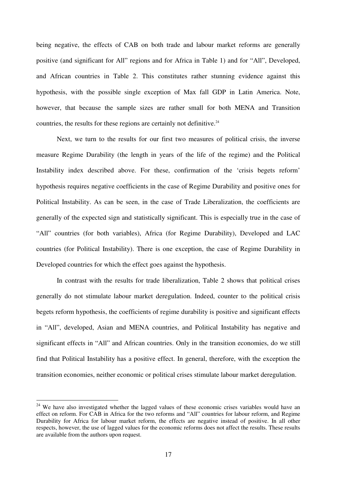being negative, the effects of CAB on both trade and labour market reforms are generally positive (and significant for All" regions and for Africa in Table 1) and for "All", Developed, and African countries in Table 2. This constitutes rather stunning evidence against this hypothesis, with the possible single exception of Max fall GDP in Latin America. Note, however, that because the sample sizes are rather small for both MENA and Transition countries, the results for these regions are certainly not definitive. $24$ 

 Next, we turn to the results for our first two measures of political crisis, the inverse measure Regime Durability (the length in years of the life of the regime) and the Political Instability index described above. For these, confirmation of the 'crisis begets reform' hypothesis requires negative coefficients in the case of Regime Durability and positive ones for Political Instability. As can be seen, in the case of Trade Liberalization, the coefficients are generally of the expected sign and statistically significant. This is especially true in the case of "All" countries (for both variables), Africa (for Regime Durability), Developed and LAC countries (for Political Instability). There is one exception, the case of Regime Durability in Developed countries for which the effect goes against the hypothesis.

In contrast with the results for trade liberalization, Table 2 shows that political crises generally do not stimulate labour market deregulation. Indeed, counter to the political crisis begets reform hypothesis, the coefficients of regime durability is positive and significant effects in "All", developed, Asian and MENA countries, and Political Instability has negative and significant effects in "All" and African countries. Only in the transition economies, do we still find that Political Instability has a positive effect. In general, therefore, with the exception the transition economies, neither economic or political crises stimulate labour market deregulation.

<sup>&</sup>lt;sup>24</sup> We have also investigated whether the lagged values of these economic crises variables would have an effect on reform. For CAB in Africa for the two reforms and "All" countries for labour reform, and Regime Durability for Africa for labour market reform, the effects are negative instead of positive. In all other respects, however, the use of lagged values for the economic reforms does not affect the results. These results are available from the authors upon request.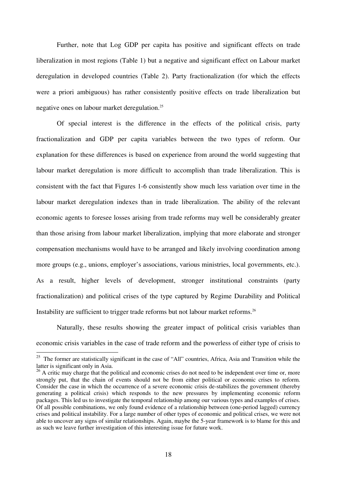Further, note that Log GDP per capita has positive and significant effects on trade liberalization in most regions (Table 1) but a negative and significant effect on Labour market deregulation in developed countries (Table 2). Party fractionalization (for which the effects were a priori ambiguous) has rather consistently positive effects on trade liberalization but negative ones on labour market deregulation.<sup>25</sup>

Of special interest is the difference in the effects of the political crisis, party fractionalization and GDP per capita variables between the two types of reform. Our explanation for these differences is based on experience from around the world suggesting that labour market deregulation is more difficult to accomplish than trade liberalization. This is consistent with the fact that Figures 1-6 consistently show much less variation over time in the labour market deregulation indexes than in trade liberalization. The ability of the relevant economic agents to foresee losses arising from trade reforms may well be considerably greater than those arising from labour market liberalization, implying that more elaborate and stronger compensation mechanisms would have to be arranged and likely involving coordination among more groups (e.g., unions, employer's associations, various ministries, local governments, etc.). As a result, higher levels of development, stronger institutional constraints (party fractionalization) and political crises of the type captured by Regime Durability and Political Instability are sufficient to trigger trade reforms but not labour market reforms.<sup>26</sup>

 Naturally, these results showing the greater impact of political crisis variables than economic crisis variables in the case of trade reform and the powerless of either type of crisis to

 $25$  The former are statistically significant in the case of "All" countries, Africa, Asia and Transition while the latter is significant only in Asia.

<sup>&</sup>lt;sup>26</sup> A critic may charge that the political and economic crises do not need to be independent over time or, more strongly put, that the chain of events should not be from either political or economic crises to reform. Consider the case in which the occurrence of a severe economic crisis de-stabilizes the government (thereby generating a political crisis) which responds to the new pressures by implementing economic reform packages. This led us to investigate the temporal relationship among our various types and examples of crises. Of all possible combinations, we only found evidence of a relationship between (one-period lagged) currency crises and political instability. For a large number of other types of economic and political crises, we were not able to uncover any signs of similar relationships. Again, maybe the 5-year framework is to blame for this and as such we leave further investigation of this interesting issue for future work.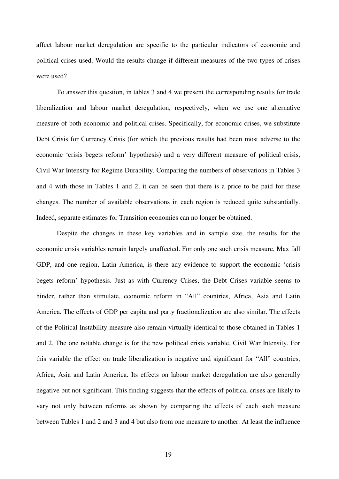affect labour market deregulation are specific to the particular indicators of economic and political crises used. Would the results change if different measures of the two types of crises were used?

To answer this question, in tables 3 and 4 we present the corresponding results for trade liberalization and labour market deregulation, respectively, when we use one alternative measure of both economic and political crises. Specifically, for economic crises, we substitute Debt Crisis for Currency Crisis (for which the previous results had been most adverse to the economic 'crisis begets reform' hypothesis) and a very different measure of political crisis, Civil War Intensity for Regime Durability. Comparing the numbers of observations in Tables 3 and 4 with those in Tables 1 and 2, it can be seen that there is a price to be paid for these changes. The number of available observations in each region is reduced quite substantially. Indeed, separate estimates for Transition economies can no longer be obtained.

Despite the changes in these key variables and in sample size, the results for the economic crisis variables remain largely unaffected. For only one such crisis measure, Max fall GDP, and one region, Latin America, is there any evidence to support the economic 'crisis begets reform' hypothesis. Just as with Currency Crises, the Debt Crises variable seems to hinder, rather than stimulate, economic reform in "All" countries, Africa, Asia and Latin America. The effects of GDP per capita and party fractionalization are also similar. The effects of the Political Instability measure also remain virtually identical to those obtained in Tables 1 and 2. The one notable change is for the new political crisis variable, Civil War Intensity. For this variable the effect on trade liberalization is negative and significant for "All" countries, Africa, Asia and Latin America. Its effects on labour market deregulation are also generally negative but not significant. This finding suggests that the effects of political crises are likely to vary not only between reforms as shown by comparing the effects of each such measure between Tables 1 and 2 and 3 and 4 but also from one measure to another. At least the influence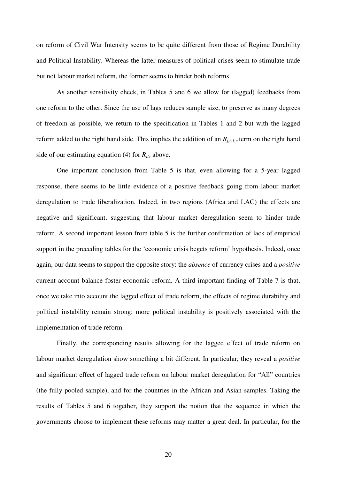on reform of Civil War Intensity seems to be quite different from those of Regime Durability and Political Instability. Whereas the latter measures of political crises seem to stimulate trade but not labour market reform, the former seems to hinder both reforms.

As another sensitivity check, in Tables 5 and 6 we allow for (lagged) feedbacks from one reform to the other. Since the use of lags reduces sample size, to preserve as many degrees of freedom as possible, we return to the specification in Tables 1 and 2 but with the lagged reform added to the right hand side. This implies the addition of an  $R_{j,t-1,c}$  term on the right hand side of our estimating equation (4) for  $R_{itc}$  above.

One important conclusion from Table 5 is that, even allowing for a 5-year lagged response, there seems to be little evidence of a positive feedback going from labour market deregulation to trade liberalization. Indeed, in two regions (Africa and LAC) the effects are negative and significant, suggesting that labour market deregulation seem to hinder trade reform. A second important lesson from table 5 is the further confirmation of lack of empirical support in the preceding tables for the 'economic crisis begets reform' hypothesis. Indeed, once again, our data seems to support the opposite story: the *absence* of currency crises and a *positive*  current account balance foster economic reform. A third important finding of Table 7 is that, once we take into account the lagged effect of trade reform, the effects of regime durability and political instability remain strong: more political instability is positively associated with the implementation of trade reform.

Finally, the corresponding results allowing for the lagged effect of trade reform on labour market deregulation show something a bit different. In particular, they reveal a *positive*  and significant effect of lagged trade reform on labour market deregulation for "All" countries (the fully pooled sample), and for the countries in the African and Asian samples. Taking the results of Tables 5 and 6 together, they support the notion that the sequence in which the governments choose to implement these reforms may matter a great deal. In particular, for the

20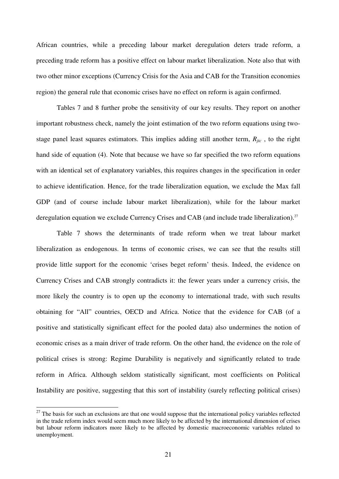African countries, while a preceding labour market deregulation deters trade reform, a preceding trade reform has a positive effect on labour market liberalization. Note also that with two other minor exceptions (Currency Crisis for the Asia and CAB for the Transition economies region) the general rule that economic crises have no effect on reform is again confirmed.

Tables 7 and 8 further probe the sensitivity of our key results. They report on another important robustness check, namely the joint estimation of the two reform equations using twostage panel least squares estimators. This implies adding still another term,  $R_{\textit{itc}}$ , to the right hand side of equation (4). Note that because we have so far specified the two reform equations with an identical set of explanatory variables, this requires changes in the specification in order to achieve identification. Hence, for the trade liberalization equation, we exclude the Max fall GDP (and of course include labour market liberalization), while for the labour market deregulation equation we exclude Currency Crises and CAB (and include trade liberalization).<sup>27</sup>

Table 7 shows the determinants of trade reform when we treat labour market liberalization as endogenous. In terms of economic crises, we can see that the results still provide little support for the economic 'crises beget reform' thesis. Indeed, the evidence on Currency Crises and CAB strongly contradicts it: the fewer years under a currency crisis, the more likely the country is to open up the economy to international trade, with such results obtaining for "All" countries, OECD and Africa. Notice that the evidence for CAB (of a positive and statistically significant effect for the pooled data) also undermines the notion of economic crises as a main driver of trade reform. On the other hand, the evidence on the role of political crises is strong: Regime Durability is negatively and significantly related to trade reform in Africa. Although seldom statistically significant, most coefficients on Political Instability are positive, suggesting that this sort of instability (surely reflecting political crises)

 $27$  The basis for such an exclusions are that one would suppose that the international policy variables reflected in the trade reform index would seem much more likely to be affected by the international dimension of crises but labour reform indicators more likely to be affected by domestic macroeconomic variables related to unemployment.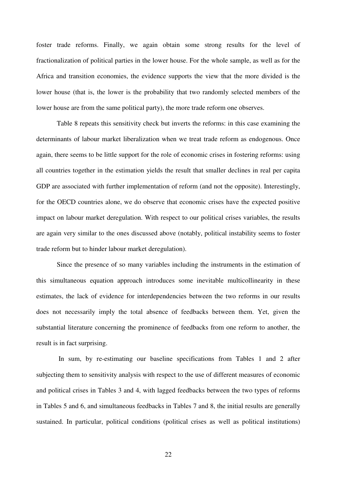foster trade reforms. Finally, we again obtain some strong results for the level of fractionalization of political parties in the lower house. For the whole sample, as well as for the Africa and transition economies, the evidence supports the view that the more divided is the lower house (that is, the lower is the probability that two randomly selected members of the lower house are from the same political party), the more trade reform one observes.

Table 8 repeats this sensitivity check but inverts the reforms: in this case examining the determinants of labour market liberalization when we treat trade reform as endogenous. Once again, there seems to be little support for the role of economic crises in fostering reforms: using all countries together in the estimation yields the result that smaller declines in real per capita GDP are associated with further implementation of reform (and not the opposite). Interestingly, for the OECD countries alone, we do observe that economic crises have the expected positive impact on labour market deregulation. With respect to our political crises variables, the results are again very similar to the ones discussed above (notably, political instability seems to foster trade reform but to hinder labour market deregulation).

Since the presence of so many variables including the instruments in the estimation of this simultaneous equation approach introduces some inevitable multicollinearity in these estimates, the lack of evidence for interdependencies between the two reforms in our results does not necessarily imply the total absence of feedbacks between them. Yet, given the substantial literature concerning the prominence of feedbacks from one reform to another, the result is in fact surprising.

 In sum, by re-estimating our baseline specifications from Tables 1 and 2 after subjecting them to sensitivity analysis with respect to the use of different measures of economic and political crises in Tables 3 and 4, with lagged feedbacks between the two types of reforms in Tables 5 and 6, and simultaneous feedbacks in Tables 7 and 8, the initial results are generally sustained. In particular, political conditions (political crises as well as political institutions)

22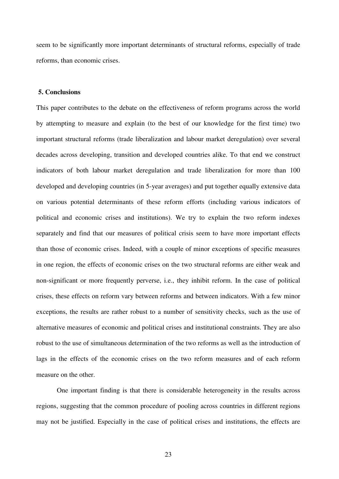seem to be significantly more important determinants of structural reforms, especially of trade reforms, than economic crises.

### **5. Conclusions**

This paper contributes to the debate on the effectiveness of reform programs across the world by attempting to measure and explain (to the best of our knowledge for the first time) two important structural reforms (trade liberalization and labour market deregulation) over several decades across developing, transition and developed countries alike. To that end we construct indicators of both labour market deregulation and trade liberalization for more than 100 developed and developing countries (in 5-year averages) and put together equally extensive data on various potential determinants of these reform efforts (including various indicators of political and economic crises and institutions). We try to explain the two reform indexes separately and find that our measures of political crisis seem to have more important effects than those of economic crises. Indeed, with a couple of minor exceptions of specific measures in one region, the effects of economic crises on the two structural reforms are either weak and non-significant or more frequently perverse, i.e., they inhibit reform. In the case of political crises, these effects on reform vary between reforms and between indicators. With a few minor exceptions, the results are rather robust to a number of sensitivity checks, such as the use of alternative measures of economic and political crises and institutional constraints. They are also robust to the use of simultaneous determination of the two reforms as well as the introduction of lags in the effects of the economic crises on the two reform measures and of each reform measure on the other.

One important finding is that there is considerable heterogeneity in the results across regions, suggesting that the common procedure of pooling across countries in different regions may not be justified. Especially in the case of political crises and institutions, the effects are

23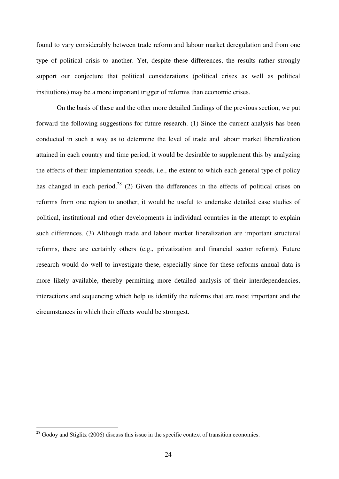found to vary considerably between trade reform and labour market deregulation and from one type of political crisis to another. Yet, despite these differences, the results rather strongly support our conjecture that political considerations (political crises as well as political institutions) may be a more important trigger of reforms than economic crises.

On the basis of these and the other more detailed findings of the previous section, we put forward the following suggestions for future research. (1) Since the current analysis has been conducted in such a way as to determine the level of trade and labour market liberalization attained in each country and time period, it would be desirable to supplement this by analyzing the effects of their implementation speeds, i.e., the extent to which each general type of policy has changed in each period.<sup>28</sup> (2) Given the differences in the effects of political crises on reforms from one region to another, it would be useful to undertake detailed case studies of political, institutional and other developments in individual countries in the attempt to explain such differences. (3) Although trade and labour market liberalization are important structural reforms, there are certainly others (e.g., privatization and financial sector reform). Future research would do well to investigate these, especially since for these reforms annual data is more likely available, thereby permitting more detailed analysis of their interdependencies, interactions and sequencing which help us identify the reforms that are most important and the circumstances in which their effects would be strongest.

 $2^8$  Godoy and Stiglitz (2006) discuss this issue in the specific context of transition economies.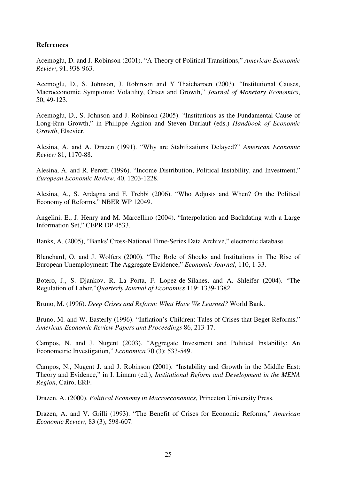### **References**

Acemoglu, D. and J. Robinson (2001). "A Theory of Political Transitions," *American Economic Review*, 91, 938-963.

Acemoglu, D., S. Johnson, J. Robinson and Y Thaicharoen (2003). "Institutional Causes, Macroeconomic Symptoms: Volatility, Crises and Growth," *Journal of Monetary Economics*, 50, 49-123.

Acemoglu, D., S. Johnson and J. Robinson (2005). "Institutions as the Fundamental Cause of Long-Run Growth," in Philippe Aghion and Steven Durlauf (eds.) *Handbook of Economic Growth*, Elsevier.

Alesina, A. and A. Drazen (1991). "Why are Stabilizations Delayed?" *American Economic Review* 81, 1170-88.

Alesina, A. and R. Perotti (1996). "Income Distribution, Political Instability, and Investment," *European Economic Review,* 40, 1203-1228.

Alesina, A., S. Ardagna and F. Trebbi (2006). "Who Adjusts and When? On the Political Economy of Reforms," NBER WP 12049.

Angelini, E., J. Henry and M. Marcellino (2004). "Interpolation and Backdating with a Large Information Set," CEPR DP 4533.

Banks, A. (2005), "Banks' Cross-National Time-Series Data Archive," electronic database.

Blanchard, O. and J. Wolfers (2000). "The Role of Shocks and Institutions in The Rise of European Unemployment: The Aggregate Evidence," *Economic Journal*, 110, 1-33.

Botero, J., S. Djankov, R. La Porta, F. Lopez-de-Silanes, and A. Shleifer (2004). "The Regulation of Labor,"*Quarterly Journal of Economics* 119: 1339-1382.

Bruno, M. (1996). *Deep Crises and Reform: What Have We Learned?* World Bank.

Bruno, M. and W. Easterly (1996). "Inflation's Children: Tales of Crises that Beget Reforms," *American Economic Review Papers and Proceedings* 86, 213-17.

Campos, N. and J. Nugent (2003). "Aggregate Investment and Political Instability: An Econometric Investigation," *Economica* 70 (3): 533-549.

Campos, N., Nugent J. and J. Robinson (2001). "Instability and Growth in the Middle East: Theory and Evidence," in I. Limam (ed.), *Institutional Reform and Development in the MENA Region*, Cairo, ERF.

Drazen, A. (2000). *Political Economy in Macroeconomics*, Princeton University Press.

Drazen, A. and V. Grilli (1993). "The Benefit of Crises for Economic Reforms," *American Economic Review*, 83 (3), 598-607.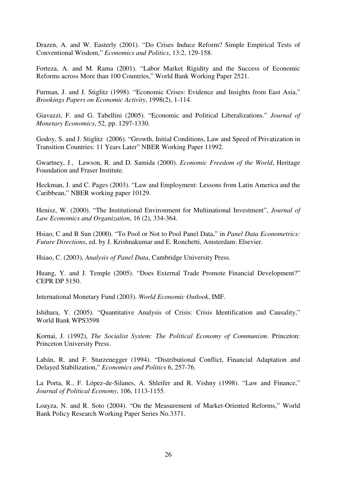Drazen, A. and W. Easterly (2001). "Do Crises Induce Reform? Simple Empirical Tests of Conventional Wisdom," *Economics and Politics*, 13:2, 129-158.

Forteza, A. and M. Rama (2001). "Labor Market Rigidity and the Success of Economic Reforms across More than 100 Countries," World Bank Working Paper 2521.

Furman, J. and J. Stiglitz (1998). "Economic Crises: Evidence and Insights from East Asia," *Brookings Papers on Economic Activity*, 1998(2), 1-114.

Giavazzi, F. and G. Tabellini (2005). "Economic and Political Liberalizations." *Journal of Monetary Economics*, 52, pp. 1297-1330.

Godoy, S. and J. Stiglitz (2006). "Growth, Initial Conditions, Law and Speed of Privatization in Transition Countries: 11 Years Later" NBER Working Paper 11992.

Gwartney, J., Lawson, R. and D. Samida (2000). *Economic Freedom of the World*, Heritage Foundation and Fraser Institute.

Heckman, J. and C. Pages (2003). "Law and Employment: Lessons from Latin America and the Caribbean," NBER working paper 10129.

Henisz, W. (2000). "The Institutional Environment for Multinational Investment", *Journal of Law Economics and Organization*, 16 (2), 334-364.

Hsiao, C and B Sun (2000). "To Pool or Not to Pool Panel Data," in *Panel Data Econometrics: Future Directions*, ed. by J. Krishnakumar and E. Ronchetti, Amsterdam: Elsevier.

Hsiao, C. (2003), *Analysis of Panel Data*, Cambridge University Press.

Huang, Y. and J. Temple (2005). "Does External Trade Promote Financial Development?" CEPR DP 5150.

International Monetary Fund (2003). *World Economic Outlook*, IMF.

Ishihara, Y. (2005). "Quantitative Analysis of Crisis: Crisis Identification and Causality," World Bank WPS3598

Kornai, J. (1992), *The Socialist System: The Political Economy of Communism*. Princeton: Princeton University Press.

Labán, R. and F. Sturzenegger (1994). "Distributional Conflict, Financial Adaptation and Delayed Stabilization," *Economics and Politics* 6, 257-76.

La Porta, R., F. López-de-Silanes, A. Shleifer and R. Vishny (1998). "Law and Finance," *Journal of Political Economy*, 106, 1113-1155.

Loayza, N. and R. Soto (2004). "On the Measurement of Market-Oriented Reforms," World Bank Policy Research Working Paper Series No.3371.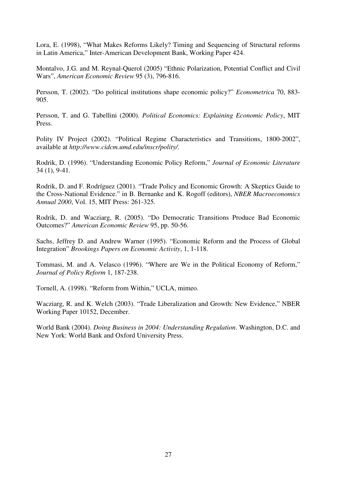Lora, E. (1998), "What Makes Reforms Likely? Timing and Sequencing of Structural reforms in Latin America," Inter-American Development Bank, Working Paper 424.

Montalvo, J.G. and M. Reynal-Querol (2005) "Ethnic Polarization, Potential Conflict and Civil Wars", *American Economic Review* 95 (3), 796-816.

Persson, T. (2002). "Do political institutions shape economic policy?" *Econometrica* 70, 883- 905.

Persson, T. and G. Tabellini (2000). *Political Economics: Explaining Economic Policy*, MIT Press.

Polity IV Project (2002). "Political Regime Characteristics and Transitions, 1800-2002", available at *http://www.cidcm.umd.edu/inscr/polity/*.

Rodrik, D. (1996). "Understanding Economic Policy Reform," *Journal of Economic Literature* 34 (1), 9-41.

Rodrik, D. and F. Rodríguez (2001). "Trade Policy and Economic Growth: A Skeptics Guide to the Cross-National Evidence." in B. Bernanke and K. Rogoff (editors), *NBER Macroeconomics Annual 2000*, Vol. 15, MIT Press: 261-325.

Rodrik, D. and Wacziarg, R. (2005). "Do Democratic Transitions Produce Bad Economic Outcomes?" *American Economic Review* 95, pp. 50-56.

Sachs, Jeffrey D. and Andrew Warner (1995). "Economic Reform and the Process of Global Integration" *Brookings Papers on Economic Activity*, 1, 1-118.

Tommasi, M. and A. Velasco (1996). "Where are We in the Political Economy of Reform," *Journal of Policy Reform* 1, 187-238.

Tornell, A. (1998). "Reform from Within," UCLA, mimeo.

Wacziarg, R. and K. Welch (2003). "Trade Liberalization and Growth: New Evidence," NBER Working Paper 10152, December.

World Bank (2004). *Doing Business in 2004: Understanding Regulation*. Washington, D.C. and New York: World Bank and Oxford University Press.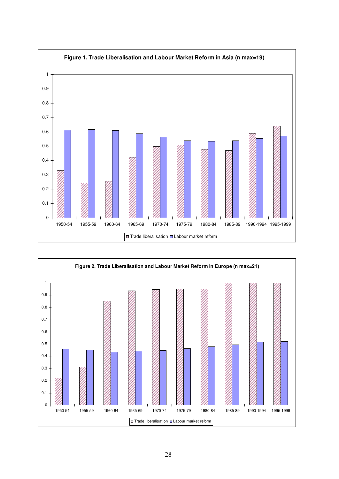

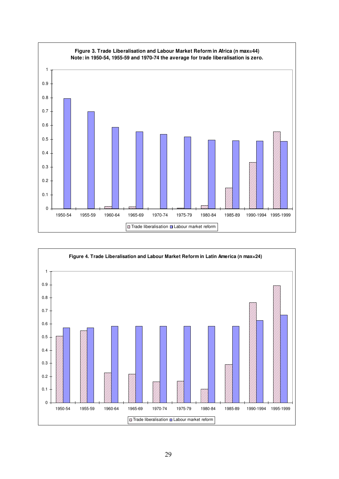

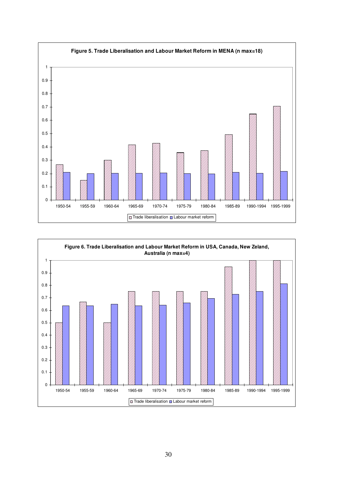

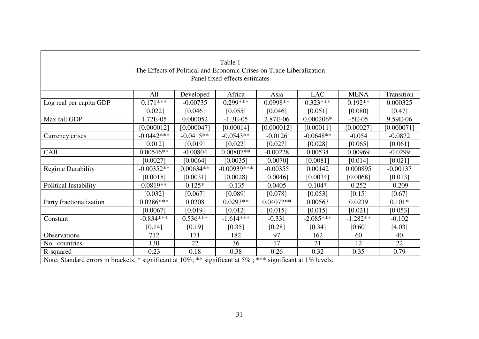|                                                                                                              |              |             | Table 1       |             |             |             |            |  |
|--------------------------------------------------------------------------------------------------------------|--------------|-------------|---------------|-------------|-------------|-------------|------------|--|
| The Effects of Political and Economic Crises on Trade Liberalization                                         |              |             |               |             |             |             |            |  |
| Panel fixed-effects estimates                                                                                |              |             |               |             |             |             |            |  |
|                                                                                                              |              |             |               |             |             |             |            |  |
|                                                                                                              | All          | Developed   | Africa        | Asia        | <b>LAC</b>  | <b>MENA</b> | Transition |  |
| Log real per capita GDP                                                                                      | $0.171***$   | $-0.00735$  | $0.299***$    | $0.0998**$  | $0.323***$  | $0.192**$   | 0.000325   |  |
|                                                                                                              | [0.022]      | [0.046]     | [0.055]       | [0.046]     | [0.051]     | [0.080]     | [0.47]     |  |
| Max fall GDP                                                                                                 | 1.72E-05     | 0.000052    | $-1.3E-05$    | 2.87E-06    | $0.000206*$ | $-5E-05$    | 9.59E-06   |  |
|                                                                                                              | [0.000012]   | [0.000047]  | [0.00014]     | [0.000012]  | [0.00011]   | [0.00027]   | [0.000071] |  |
| Currency crises                                                                                              | $-0.0442***$ | $-0.0415**$ | $-0.0543**$   | $-0.0126$   | $-0.0648**$ | $-0.054$    | $-0.0872$  |  |
|                                                                                                              | [0.012]      | [0.019]     | [0.022]       | [0.027]     | [0.028]     | [0.065]     | [0.061]    |  |
| CAB                                                                                                          | $0.00546**$  | $-0.00804$  | $0.00807**$   | $-0.00228$  | 0.00534     | 0.00969     | $-0.0299$  |  |
|                                                                                                              | [0.0027]     | [0.0064]    | [0.0035]      | [0.0070]    | [0.0081]    | [0.014]     | [0.021]    |  |
| <b>Regime Durability</b>                                                                                     | $-0.00352**$ | $0.00634**$ | $-0.00939***$ | $-0.00355$  | 0.00142     | 0.000895    | $-0.00137$ |  |
|                                                                                                              | [0.0015]     | [0.0031]    | [0.0028]      | [0.0046]    | [0.0034]    | [0.0068]    | [0.013]    |  |
| Political Instability                                                                                        | $0.0819**$   | $0.125*$    | $-0.135$      | 0.0405      | $0.104*$    | 0.252       | $-0.209$   |  |
|                                                                                                              | [0.032]      | [0.067]     | [0.089]       | [0.078]     | [0.053]     | [0.15]      | [0.67]     |  |
| Party fractionalization                                                                                      | $0.0286***$  | 0.0208      | $0.0293**$    | $0.0407***$ | 0.00563     | 0.0239      | $0.101*$   |  |
|                                                                                                              | [0.0067]     | [0.019]     | [0.012]       | [0.015]     | [0.015]     | [0.021]     | [0.053]    |  |
| Constant                                                                                                     | $-0.834***$  | $0.536***$  | $-1.614***$   | $-0.331$    | $-2.085***$ | $-1.282**$  | $-0.102$   |  |
|                                                                                                              | [0.14]       | [0.19]      | [0.35]        | $[0.28]$    | [0.34]      | [0.60]      | [4.03]     |  |
| <b>Observations</b>                                                                                          | 712          | 171         | 182           | 97          | 162         | 60          | 40         |  |
| No. countries                                                                                                | 130          | 22          | 36            | 17          | 21          | 12          | 22         |  |
| R-squared                                                                                                    | 0.23         | 0.18        | 0.38          | 0.26        | 0.32        | 0.35        | 0.79       |  |
| Note: Standard errors in brackets. * significant at 10%; ** significant at 5%; *** significant at 1% levels. |              |             |               |             |             |             |            |  |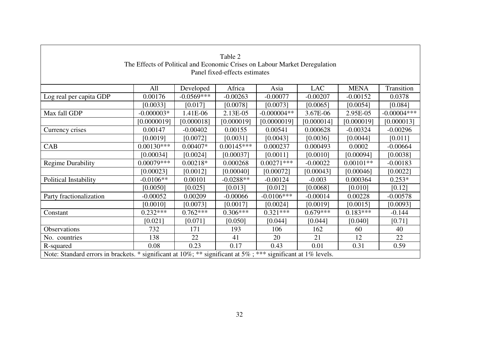| Table 2                                                                                                      |              |              |              |               |            |             |               |  |  |
|--------------------------------------------------------------------------------------------------------------|--------------|--------------|--------------|---------------|------------|-------------|---------------|--|--|
| The Effects of Political and Economic Crises on Labour Market Deregulation                                   |              |              |              |               |            |             |               |  |  |
| Panel fixed-effects estimates                                                                                |              |              |              |               |            |             |               |  |  |
|                                                                                                              |              |              |              |               |            |             |               |  |  |
|                                                                                                              | All          | Developed    | Africa       | Asia          | <b>LAC</b> | <b>MENA</b> | Transition    |  |  |
| Log real per capita GDP                                                                                      | 0.00176      | $-0.0569***$ | $-0.00263$   | $-0.00077$    | $-0.00207$ | $-0.00152$  | 0.0378        |  |  |
|                                                                                                              | [0.0033]     | [0.017]      | [0.0078]     | [0.0073]      | [0.0065]   | [0.0054]    | [0.084]       |  |  |
| Max fall GDP                                                                                                 | $-0.000003*$ | 1.41E-06     | 2.13E-05     | $-0.000004**$ | 3.67E-06   | 2.95E-05    | $-0.00004***$ |  |  |
|                                                                                                              | [0.0000019]  | [0.000018]   | [0.000019]   | [0.0000019]   | [0.000014] | [0.000019]  | [0.000013]    |  |  |
| Currency crises                                                                                              | 0.00147      | $-0.00402$   | 0.00155      | 0.00541       | 0.000628   | $-0.00324$  | $-0.00296$    |  |  |
|                                                                                                              | [0.0019]     | [0.0072]     | [0.0031]     | [0.0043]      | [0.0036]   | [0.0044]    | [0.011]       |  |  |
| CAB                                                                                                          | $0.00130***$ | $0.00407*$   | $0.00145***$ | 0.000237      | 0.000493   | 0.0002      | $-0.00664$    |  |  |
|                                                                                                              | [0.00034]    | [0.0024]     | [0.00037]    | [0.0011]      | [0.0010]   | [0.00094]   | [0.0038]      |  |  |
| <b>Regime Durability</b>                                                                                     | $0.00079***$ | $0.00218*$   | 0.000268     | $0.00271***$  | $-0.00022$ | $0.00101**$ | $-0.00183$    |  |  |
|                                                                                                              | [0.00023]    | [0.0012]     | [0.00040]    | [0.00072]     | [0.00043]  | [0.00046]   | [0.0022]      |  |  |
| Political Instability                                                                                        | $-0.0106**$  | 0.00101      | $-0.0288**$  | $-0.00124$    | $-0.003$   | 0.000364    | $0.253*$      |  |  |
|                                                                                                              | [0.0050]     | [0.025]      | [0.013]      | [0.012]       | [0.0068]   | [0.010]     | $[0.12]$      |  |  |
| Party fractionalization                                                                                      | $-0.00052$   | 0.00209      | $-0.00066$   | $-0.0106***$  | $-0.00014$ | 0.00228     | $-0.00578$    |  |  |
|                                                                                                              | [0.0010]     | [0.0073]     | [0.0017]     | [0.0024]      | [0.0019]   | [0.0015]    | [0.0093]      |  |  |
| Constant                                                                                                     | $0.232***$   | $0.762***$   | $0.306***$   | $0.321***$    | $0.679***$ | $0.183***$  | $-0.144$      |  |  |
|                                                                                                              | [0.021]      | [0.071]      | [0.050]      | [0.044]       | [0.044]    | [0.040]     | [0.71]        |  |  |
| Observations                                                                                                 | 732          | 171          | 193          | 106           | 162        | 60          | 40            |  |  |
| No. countries                                                                                                | 138          | 22           | 41           | 20            | 21         | 12          | 22            |  |  |
| R-squared                                                                                                    | 0.08         | 0.23         | 0.17         | 0.43          | 0.01       | 0.31        | 0.59          |  |  |
| Note: Standard errors in brackets. * significant at 10%; ** significant at 5%; *** significant at 1% levels. |              |              |              |               |            |             |               |  |  |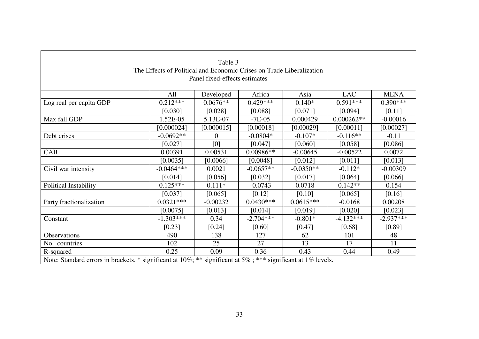| Table 3                                                                                                      |              |                |             |             |              |             |  |  |  |
|--------------------------------------------------------------------------------------------------------------|--------------|----------------|-------------|-------------|--------------|-------------|--|--|--|
| The Effects of Political and Economic Crises on Trade Liberalization                                         |              |                |             |             |              |             |  |  |  |
| Panel fixed-effects estimates                                                                                |              |                |             |             |              |             |  |  |  |
|                                                                                                              |              |                |             |             |              |             |  |  |  |
|                                                                                                              | All          | Developed      | Africa      | Asia        | <b>LAC</b>   | <b>MENA</b> |  |  |  |
| Log real per capita GDP                                                                                      | $0.212***$   | $0.0676**$     | $0.429***$  | $0.140*$    | $0.591***$   | $0.390***$  |  |  |  |
|                                                                                                              | [0.030]      | [0.028]        | [0.088]     | [0.071]     | [0.094]      | [0.11]      |  |  |  |
| Max fall GDP                                                                                                 | 1.52E-05     | 5.13E-07       | $-7E-05$    | 0.000429    | $0.000262**$ | $-0.00016$  |  |  |  |
|                                                                                                              | [0.000024]   | [0.000015]     | [0.00018]   | [0.00029]   | [0.00011]    | [0.00027]   |  |  |  |
| Debt crises                                                                                                  | $-0.0692**$  | $\overline{0}$ | $-0.0804*$  | $-0.107*$   | $-0.116**$   | $-0.11$     |  |  |  |
|                                                                                                              | [0.027]      | [0]            | [0.047]     | [0.060]     | [0.058]      | [0.086]     |  |  |  |
| CAB                                                                                                          | 0.00391      | 0.00531        | $0.00986**$ | $-0.00645$  | $-0.00522$   | 0.0072      |  |  |  |
|                                                                                                              | [0.0035]     | [0.0066]       | [0.0048]    | [0.012]     | [0.011]      | [0.013]     |  |  |  |
| Civil war intensity                                                                                          | $-0.0464***$ | 0.0021         | $-0.0657**$ | $-0.0350**$ | $-0.112*$    | $-0.00309$  |  |  |  |
|                                                                                                              | [0.014]      | [0.056]        | [0.032]     | [0.017]     | [0.064]      | [0.066]     |  |  |  |
| Political Instability                                                                                        | $0.125***$   | $0.111*$       | $-0.0743$   | 0.0718      | $0.142**$    | 0.154       |  |  |  |
|                                                                                                              | [0.037]      | [0.065]        | [0.12]      | [0.10]      | [0.065]      | [0.16]      |  |  |  |
| Party fractionalization                                                                                      | $0.0321***$  | $-0.00232$     | $0.0430***$ | $0.0615***$ | $-0.0168$    | 0.00208     |  |  |  |
|                                                                                                              | [0.0075]     | [0.013]        | [0.014]     | [0.019]     | [0.020]      | [0.023]     |  |  |  |
| Constant                                                                                                     | $-1.303***$  | 0.34           | $-2.704***$ | $-0.801*$   | $-4.132***$  | $-2.937***$ |  |  |  |
|                                                                                                              | [0.23]       | [0.24]         | [0.60]      | [0.47]      | [0.68]       | [0.89]      |  |  |  |
| <b>Observations</b>                                                                                          | 490          | 138            | 127         | 62          | 101          | 48          |  |  |  |
| No. countries                                                                                                | 102          | 25             | 27          | 13          | 17           | 11          |  |  |  |
| R-squared                                                                                                    | 0.25         | 0.09           | 0.36        | 0.43        | 0.44         | 0.49        |  |  |  |
| Note: Standard errors in brackets. * significant at 10%; ** significant at 5%; *** significant at 1% levels. |              |                |             |             |              |             |  |  |  |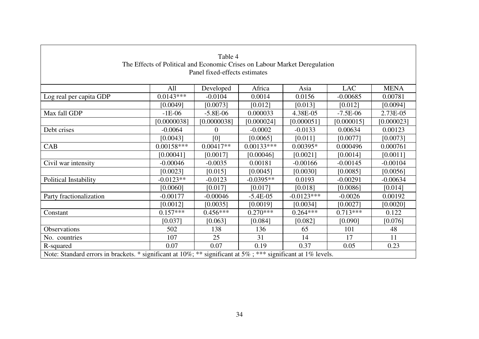| Table 4                                                                                                      |              |             |              |              |            |             |  |  |  |  |
|--------------------------------------------------------------------------------------------------------------|--------------|-------------|--------------|--------------|------------|-------------|--|--|--|--|
| The Effects of Political and Economic Crises on Labour Market Deregulation                                   |              |             |              |              |            |             |  |  |  |  |
| Panel fixed-effects estimates                                                                                |              |             |              |              |            |             |  |  |  |  |
|                                                                                                              |              |             |              |              |            |             |  |  |  |  |
|                                                                                                              | All          | Developed   | Africa       | Asia         | <b>LAC</b> | <b>MENA</b> |  |  |  |  |
| Log real per capita GDP                                                                                      | $0.0143***$  | $-0.0104$   | 0.0014       | 0.0156       | $-0.00685$ | 0.00781     |  |  |  |  |
|                                                                                                              | [0.0049]     | [0.0073]    | [0.012]      | [0.013]      | [0.012]    | [0.0094]    |  |  |  |  |
| Max fall GDP                                                                                                 | $-1E-06$     | $-5.8E-06$  | 0.000033     | 4.38E-05     | $-7.5E-06$ | 2.73E-05    |  |  |  |  |
|                                                                                                              | [0.0000038]  | [0.0000038] | [0.000024]   | [0.000051]   | [0.000015] | [0.000023]  |  |  |  |  |
| Debt crises                                                                                                  | $-0.0064$    | 0           | $-0.0002$    | $-0.0133$    | 0.00634    | 0.00123     |  |  |  |  |
|                                                                                                              | [0.0043]     | [0]         | [0.0065]     | [0.011]      | [0.0077]   | [0.0073]    |  |  |  |  |
| CAB                                                                                                          | $0.00158***$ | $0.00417**$ | $0.00133***$ | $0.00395*$   | 0.000496   | 0.000761    |  |  |  |  |
|                                                                                                              | [0.00041]    | [0.0017]    | [0.00046]    | [0.0021]     | [0.0014]   | [0.0011]    |  |  |  |  |
| Civil war intensity                                                                                          | $-0.00046$   | $-0.0035$   | 0.00181      | $-0.00166$   | $-0.00145$ | $-0.00104$  |  |  |  |  |
|                                                                                                              | [0.0023]     | [0.015]     | [0.0045]     | [0.0030]     | [0.0085]   | [0.0056]    |  |  |  |  |
| Political Instability                                                                                        | $-0.0123**$  | $-0.0123$   | $-0.0395**$  | 0.0193       | $-0.00291$ | $-0.00634$  |  |  |  |  |
|                                                                                                              | [0.0060]     | [0.017]     | [0.017]      | [0.018]      | [0.0086]   | [0.014]     |  |  |  |  |
| Party fractionalization                                                                                      | $-0.00177$   | $-0.00046$  | $-5.4E-05$   | $-0.0123***$ | $-0.0026$  | 0.00192     |  |  |  |  |
|                                                                                                              | [0.0012]     | [0.0035]    | [0.0019]     | [0.0034]     | [0.0027]   | [0.0020]    |  |  |  |  |
| Constant                                                                                                     | $0.157***$   | $0.456***$  | $0.270***$   | $0.264***$   | $0.713***$ | 0.122       |  |  |  |  |
|                                                                                                              | [0.037]      | [0.063]     | [0.084]      | [0.082]      | [0.090]    | [0.076]     |  |  |  |  |
| Observations                                                                                                 | 502          | 138         | 136          | 65           | 101        | 48          |  |  |  |  |
| No. countries                                                                                                | 107          | 25          | 31           | 14           | 17         | 11          |  |  |  |  |
| R-squared                                                                                                    | 0.07         | 0.07        | 0.19         | 0.37         | 0.05       | 0.23        |  |  |  |  |
| Note: Standard errors in brackets. * significant at 10%; ** significant at 5%; *** significant at 1% levels. |              |             |              |              |            |             |  |  |  |  |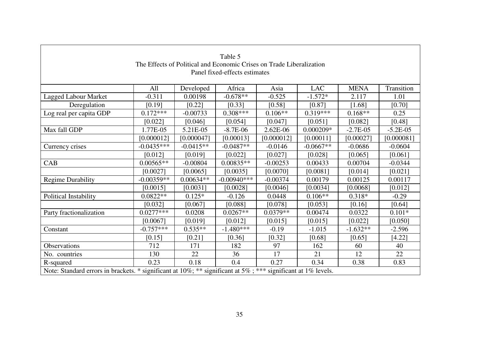|                                                                                                              |              |             | Table 5        |            |             |             |            |  |
|--------------------------------------------------------------------------------------------------------------|--------------|-------------|----------------|------------|-------------|-------------|------------|--|
| The Effects of Political and Economic Crises on Trade Liberalization                                         |              |             |                |            |             |             |            |  |
| Panel fixed-effects estimates                                                                                |              |             |                |            |             |             |            |  |
|                                                                                                              |              |             |                |            |             |             |            |  |
|                                                                                                              | All          | Developed   | Africa         | Asia       | <b>LAC</b>  | <b>MENA</b> | Transition |  |
| <b>Lagged Labour Market</b>                                                                                  | $-0.311$     | 0.00198     | $-0.678**$     | $-0.525$   | $-1.572*$   | 2.117       | 1.01       |  |
| Deregulation                                                                                                 | [0.19]       | [0.22]      | [0.33]         | [0.58]     | [0.87]      | [1.68]      | [0.70]     |  |
| Log real per capita GDP                                                                                      | $0.172***$   | $-0.00733$  | $0.308***$     | $0.106**$  | $0.319***$  | $0.168**$   | 0.25       |  |
|                                                                                                              | [0.022]      | [0.046]     | [0.054]        | [0.047]    | [0.051]     | [0.082]     | [0.48]     |  |
| Max fall GDP                                                                                                 | 1.77E-05     | 5.21E-05    | $-8.7E-06$     | 2.62E-06   | $0.000209*$ | $-2.7E-05$  | $-5.2E-05$ |  |
|                                                                                                              | [0.000012]   | [0.000047]  | [0.00013]      | [0.000012] | [0.00011]   | [0.00027]   | [0.000081] |  |
| Currency crises                                                                                              | $-0.0435***$ | $-0.0415**$ | $-0.0487**$    | $-0.0146$  | $-0.0667**$ | $-0.0686$   | $-0.0604$  |  |
|                                                                                                              | [0.012]      | [0.019]     | [0.022]        | [0.027]    | [0.028]     | [0.065]     | [0.061]    |  |
| CAB                                                                                                          | $0.00565**$  | $-0.00804$  | $0.00835**$    | $-0.00253$ | 0.00433     | 0.00704     | $-0.0344$  |  |
|                                                                                                              | [0.0027]     | [0.0065]    | [0.0035]       | [0.0070]   | [0.0081]    | [0.014]     | [0.021]    |  |
| <b>Regime Durability</b>                                                                                     | $-0.00359**$ | $0.00634**$ | $-0.00940$ *** | $-0.00374$ | 0.00179     | 0.00125     | 0.00117    |  |
|                                                                                                              | [0.0015]     | [0.0031]    | [0.0028]       | [0.0046]   | [0.0034]    | [0.0068]    | [0.012]    |  |
| Political Instability                                                                                        | $0.0822**$   | $0.125*$    | $-0.126$       | 0.0448     | $0.106**$   | $0.318*$    | $-0.29$    |  |
|                                                                                                              | [0.032]      | [0.067]     | [0.088]        | [0.078]    | [0.053]     | [0.16]      | [0.64]     |  |
| Party fractionalization                                                                                      | $0.0277***$  | 0.0208      | $0.0267**$     | $0.0379**$ | 0.00474     | 0.0322      | $0.101*$   |  |
|                                                                                                              | [0.0067]     | [0.019]     | [0.012]        | [0.015]    | [0.015]     | $[0.022]$   | [0.050]    |  |
| Constant                                                                                                     | $-0.757***$  | $0.535**$   | $-1.480***$    | $-0.19$    | $-1.015$    | $-1.632**$  | $-2.596$   |  |
|                                                                                                              | [0.15]       | $[0.21]$    | [0.36]         | [0.32]     | [0.68]      | [0.65]      | [4.22]     |  |
| Observations                                                                                                 | 712          | 171         | 182            | 97         | 162         | 60          | 40         |  |
| No. countries                                                                                                | 130          | 22          | 36             | 17         | 21          | 12          | 22         |  |
| R-squared                                                                                                    | 0.23         | 0.18        | 0.4            | 0.27       | 0.34        | 0.38        | 0.83       |  |
| Note: Standard errors in brackets. * significant at 10%; ** significant at 5%; *** significant at 1% levels. |              |             |                |            |             |             |            |  |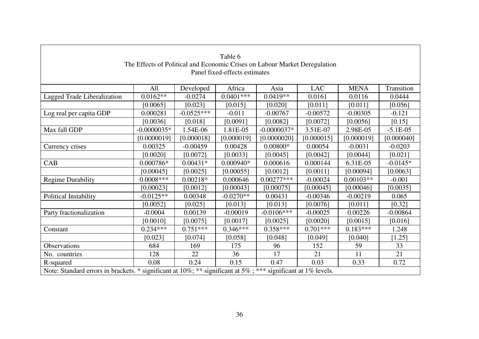| Table 6                                                                                                      |               |              |             |               |            |             |            |  |  |
|--------------------------------------------------------------------------------------------------------------|---------------|--------------|-------------|---------------|------------|-------------|------------|--|--|
| The Effects of Political and Economic Crises on Labour Market Deregulation                                   |               |              |             |               |            |             |            |  |  |
| Panel fixed-effects estimates                                                                                |               |              |             |               |            |             |            |  |  |
|                                                                                                              |               |              |             |               |            |             |            |  |  |
|                                                                                                              | All           | Developed    | Africa      | Asia          | <b>LAC</b> | <b>MENA</b> | Transition |  |  |
| Lagged Trade Liberalization                                                                                  | $0.0162**$    | $-0.0274$    | $0.0401***$ | $0.0419**$    | 0.0161     | 0.0116      | 0.0444     |  |  |
|                                                                                                              | [0.0065]      | [0.023]      | [0.015]     | [0.020]       | [0.011]    | [0.011]     | [0.056]    |  |  |
| Log real per capita GDP                                                                                      | 0.000281      | $-0.0525***$ | $-0.011$    | $-0.00767$    | $-0.00572$ | $-0.00305$  | $-0.121$   |  |  |
|                                                                                                              | [0.0036]      | [0.018]      | [0.0091]    | [0.0082]      | [0.0072]   | [0.0056]    | [0.15]     |  |  |
| Max fall GDP                                                                                                 | $-0.0000035*$ | 1.54E-06     | 1.81E-05    | $-0.0000037*$ | 3.51E-07   | 2.98E-05    | $-5.1E-05$ |  |  |
|                                                                                                              | [0.0000019]   | [0.000018]   | [0.000019]  | [0.0000020]   | [0.000015] | [0.000019]  | [0.000040] |  |  |
| Currency crises                                                                                              | 0.00325       | $-0.00459$   | 0.00428     | $0.00800*$    | 0.00054    | $-0.0031$   | $-0.0203$  |  |  |
|                                                                                                              | [0.0020]      | [0.0072]     | [0.0033]    | [0.0045]      | [0.0042]   | [0.0044]    | [0.021]    |  |  |
| CAB                                                                                                          | 0.000786*     | $0.00431*$   | $0.000940*$ | 0.000616      | 0.000144   | 6.31E-05    | $-0.0145*$ |  |  |
|                                                                                                              | [0.00045]     | [0.0025]     | [0.00055]   | [0.0012]      | [0.0011]   | [0.00094]   | [0.0063]   |  |  |
| <b>Regime Durability</b>                                                                                     | $0.0008***$   | $0.00218*$   | 0.000646    | $0.00277***$  | $-0.00024$ | $0.00103**$ | $-0.001$   |  |  |
|                                                                                                              | [0.00023]     | [0.0012]     | [0.00043]   | [0.00075]     | [0.00045]  | [0.00046]   | [0.0035]   |  |  |
| Political Instability                                                                                        | $-0.0125**$   | 0.00348      | $-0.0270**$ | 0.00431       | $-0.00346$ | $-0.00219$  | 0.065      |  |  |
|                                                                                                              | [0.0052]      | [0.025]      | [0.013]     | [0.013]       | [0.0076]   | [0.011]     | [0.32]     |  |  |
| Party fractionalization                                                                                      | $-0.0004$     | 0.00139      | $-0.00019$  | $-0.0106***$  | $-0.00025$ | 0.00226     | $-0.00864$ |  |  |
|                                                                                                              | [0.0010]      | [0.0075]     | [0.0017]    | [0.0025]      | [0.0020]   | [0.0015]    | [0.016]    |  |  |
| Constant                                                                                                     | $0.234***$    | $0.751***$   | $0.346***$  | $0.358***$    | $0.701***$ | $0.183***$  | 1.248      |  |  |
|                                                                                                              | [0.023]       | [0.074]      | [0.058]     | [0.048]       | [0.049]    | [0.040]     | [1.25]     |  |  |
| Observations                                                                                                 | 684           | 169          | 175         | 96            | 152        | 59          | 33         |  |  |
| No. countries                                                                                                | 128           | 22           | 36          | 17            | 21         | 11          | 21         |  |  |
| R-squared                                                                                                    | 0.08          | 0.24         | 0.15        | 0.47          | 0.03       | 0.33        | 0.72       |  |  |
| Note: Standard errors in brackets. * significant at 10%; ** significant at 5%; *** significant at 1% levels. |               |              |             |               |            |             |            |  |  |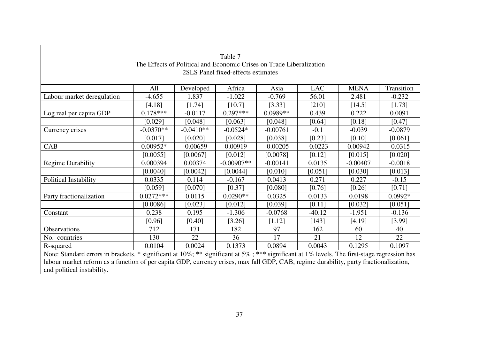|                                                                                                                                             |                                                                      |             | Table 7      |            |            |             |            |  |
|---------------------------------------------------------------------------------------------------------------------------------------------|----------------------------------------------------------------------|-------------|--------------|------------|------------|-------------|------------|--|
|                                                                                                                                             | The Effects of Political and Economic Crises on Trade Liberalization |             |              |            |            |             |            |  |
| 2SLS Panel fixed-effects estimates                                                                                                          |                                                                      |             |              |            |            |             |            |  |
|                                                                                                                                             |                                                                      |             |              |            |            |             |            |  |
|                                                                                                                                             | All                                                                  | Developed   | Africa       | Asia       | <b>LAC</b> | <b>MENA</b> | Transition |  |
| Labour market deregulation                                                                                                                  | $-4.655$                                                             | 1.837       | $-1.022$     | $-0.769$   | 56.01      | 2.481       | $-0.232$   |  |
|                                                                                                                                             | [4.18]                                                               | [1.74]      | [10.7]       | [3.33]     | [210]      | [14.5]      | [1.73]     |  |
| Log real per capita GDP                                                                                                                     | $0.178***$                                                           | $-0.0117$   | $0.297***$   | $0.0989**$ | 0.439      | 0.222       | 0.0091     |  |
|                                                                                                                                             | [0.029]                                                              | [0.048]     | [0.063]      | [0.048]    | [0.64]     | [0.18]      | [0.47]     |  |
| Currency crises                                                                                                                             | $-0.0370**$                                                          | $-0.0410**$ | $-0.0524*$   | $-0.00761$ | $-0.1$     | $-0.039$    | $-0.0879$  |  |
|                                                                                                                                             | [0.017]                                                              | [0.020]     | [0.028]      | [0.038]    | [0.23]     | [0.10]      | [0.061]    |  |
| CAB                                                                                                                                         | 0.00952*                                                             | $-0.00659$  | 0.00919      | $-0.00205$ | $-0.0223$  | 0.00942     | $-0.0315$  |  |
|                                                                                                                                             | [0.0055]                                                             | [0.0067]    | [0.012]      | [0.0078]   | [0.12]     | [0.015]     | [0.020]    |  |
| <b>Regime Durability</b>                                                                                                                    | 0.000394                                                             | 0.00374     | $-0.00907**$ | $-0.00141$ | 0.0135     | $-0.00407$  | $-0.0018$  |  |
|                                                                                                                                             | [0.0040]                                                             | [0.0042]    | [0.0044]     | [0.010]    | [0.051]    | [0.030]     | [0.013]    |  |
| Political Instability                                                                                                                       | 0.0335                                                               | 0.114       | $-0.167$     | 0.0413     | 0.271      | 0.227       | $-0.15$    |  |
|                                                                                                                                             | [0.059]                                                              | [0.070]     | [0.37]       | [0.080]    | [0.76]     | [0.26]      | [0.71]     |  |
| Party fractionalization                                                                                                                     | $0.0272***$                                                          | 0.0115      | $0.0290**$   | 0.0325     | 0.0133     | 0.0198      | $0.0992*$  |  |
|                                                                                                                                             | [0.0086]                                                             | [0.023]     | [0.012]      | [0.039]    | $[0.11]$   | [0.032]     | [0.051]    |  |
| Constant                                                                                                                                    | 0.238                                                                | 0.195       | $-1.306$     | $-0.0768$  | $-40.12$   | $-1.951$    | $-0.136$   |  |
|                                                                                                                                             | [0.96]                                                               | [0.40]      | [3.26]       | [1.12]     | [143]      | [4.19]      | [3.99]     |  |
| Observations                                                                                                                                | 712                                                                  | 171         | 182          | 97         | 162        | 60          | 40         |  |
| No. countries                                                                                                                               | 130                                                                  | 22          | 36           | 17         | 21         | 12          | 22         |  |
| R-squared                                                                                                                                   | 0.0104                                                               | 0.0024      | 0.1373       | 0.0894     | 0.0043     | 0.1295      | 0.1097     |  |
| Note: Standard errors in brackets. * significant at 10%; ** significant at 5%; *** significant at 1% levels. The first-stage regression has |                                                                      |             |              |            |            |             |            |  |
| labour market reform as a function of per capita GDP, currency crises, max fall GDP, CAB, regime durability, party fractionalization,       |                                                                      |             |              |            |            |             |            |  |
| and political instability.                                                                                                                  |                                                                      |             |              |            |            |             |            |  |